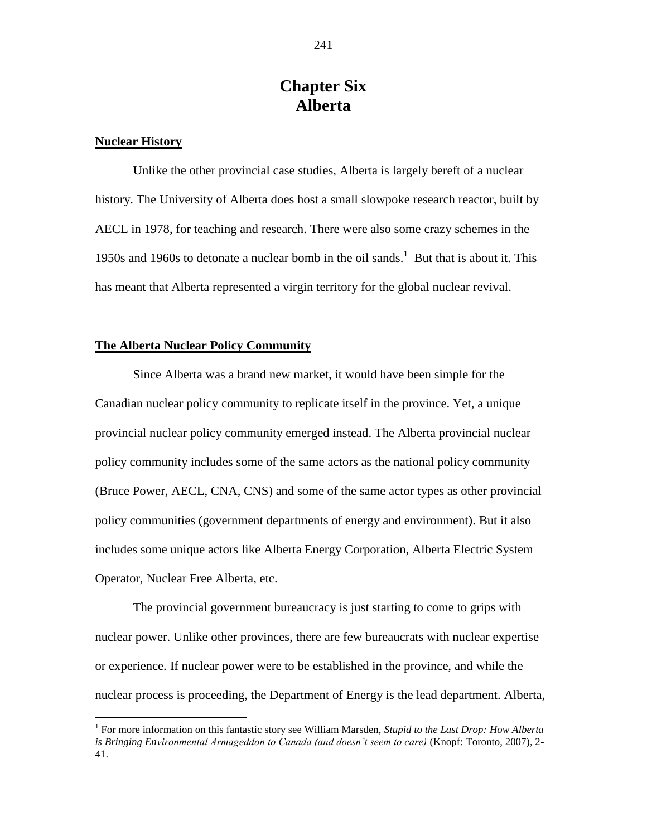# **Chapter Six Alberta**

#### **Nuclear History**

 $\overline{a}$ 

Unlike the other provincial case studies, Alberta is largely bereft of a nuclear history. The University of Alberta does host a small slowpoke research reactor, built by AECL in 1978, for teaching and research. There were also some crazy schemes in the 1950s and 1960s to detonate a nuclear bomb in the oil sands. <sup>1</sup> But that is about it. This has meant that Alberta represented a virgin territory for the global nuclear revival.

#### **The Alberta Nuclear Policy Community**

Since Alberta was a brand new market, it would have been simple for the Canadian nuclear policy community to replicate itself in the province. Yet, a unique provincial nuclear policy community emerged instead. The Alberta provincial nuclear policy community includes some of the same actors as the national policy community (Bruce Power, AECL, CNA, CNS) and some of the same actor types as other provincial policy communities (government departments of energy and environment). But it also includes some unique actors like Alberta Energy Corporation, Alberta Electric System Operator, Nuclear Free Alberta, etc.

The provincial government bureaucracy is just starting to come to grips with nuclear power. Unlike other provinces, there are few bureaucrats with nuclear expertise or experience. If nuclear power were to be established in the province, and while the nuclear process is proceeding, the Department of Energy is the lead department. Alberta,

<sup>&</sup>lt;sup>1</sup> For more information on this fantastic story see William Marsden, *Stupid to the Last Drop: How Alberta is Bringing Environmental Armageddon to Canada (and doesn't seem to care)* (Knopf: Toronto, 2007), 2- 41.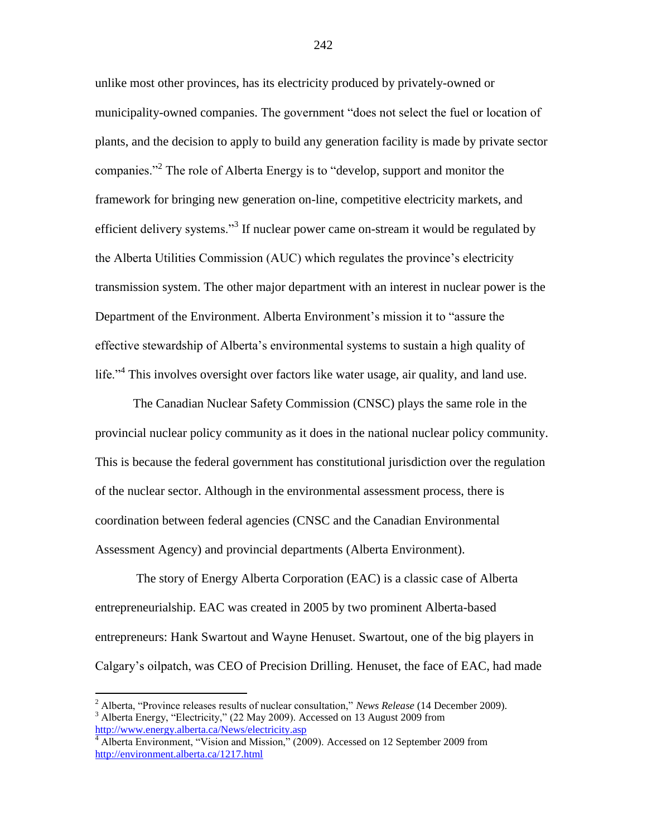unlike most other provinces, has its electricity produced by privately-owned or municipality-owned companies. The government "does not select the fuel or location of plants, and the decision to apply to build any generation facility is made by private sector companies."<sup>2</sup> The role of Alberta Energy is to "develop, support and monitor the framework for bringing new generation on-line, competitive electricity markets, and efficient delivery systems."<sup>3</sup> If nuclear power came on-stream it would be regulated by the Alberta Utilities Commission (AUC) which regulates the province"s electricity transmission system. The other major department with an interest in nuclear power is the Department of the Environment. Alberta Environment"s mission it to "assure the effective stewardship of Alberta"s environmental systems to sustain a high quality of life."<sup>4</sup> This involves oversight over factors like water usage, air quality, and land use.

The Canadian Nuclear Safety Commission (CNSC) plays the same role in the provincial nuclear policy community as it does in the national nuclear policy community. This is because the federal government has constitutional jurisdiction over the regulation of the nuclear sector. Although in the environmental assessment process, there is coordination between federal agencies (CNSC and the Canadian Environmental Assessment Agency) and provincial departments (Alberta Environment).

The story of Energy Alberta Corporation (EAC) is a classic case of Alberta entrepreneurialship. EAC was created in 2005 by two prominent Alberta-based entrepreneurs: Hank Swartout and Wayne Henuset. Swartout, one of the big players in Calgary"s oilpatch, was CEO of Precision Drilling. Henuset, the face of EAC, had made

<sup>2</sup> Alberta, "Province releases results of nuclear consultation," *News Release* (14 December 2009). <sup>3</sup> Alberta Energy, "Electricity," (22 May 2009). Accessed on 13 August 2009 from <http://www.energy.alberta.ca/News/electricity.asp>

<sup>&</sup>lt;sup>4</sup> Alberta Environment, "Vision and Mission," (2009). Accessed on 12 September 2009 from <http://environment.alberta.ca/1217.html>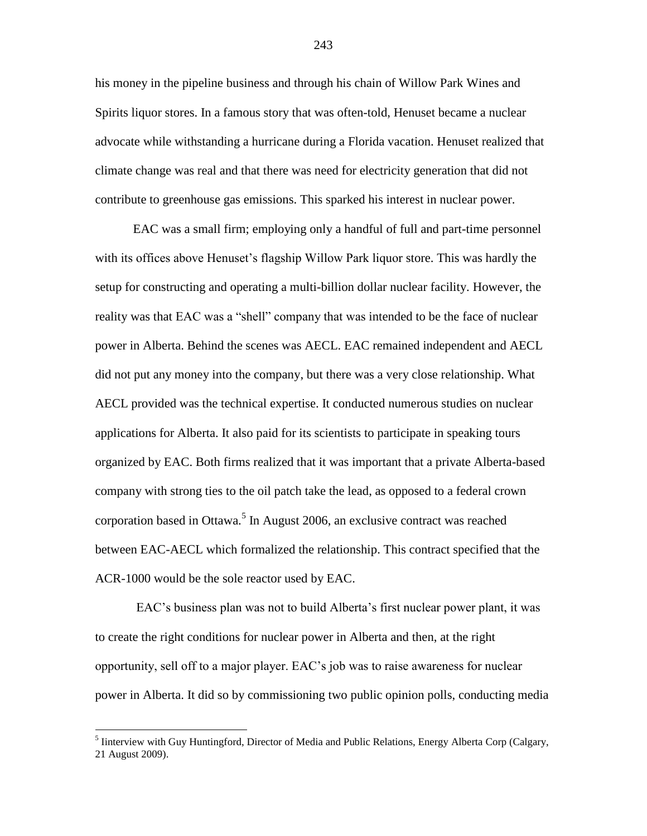his money in the pipeline business and through his chain of Willow Park Wines and Spirits liquor stores. In a famous story that was often-told, Henuset became a nuclear advocate while withstanding a hurricane during a Florida vacation. Henuset realized that climate change was real and that there was need for electricity generation that did not contribute to greenhouse gas emissions. This sparked his interest in nuclear power.

EAC was a small firm; employing only a handful of full and part-time personnel with its offices above Henuset's flagship Willow Park liquor store. This was hardly the setup for constructing and operating a multi-billion dollar nuclear facility. However, the reality was that EAC was a "shell" company that was intended to be the face of nuclear power in Alberta. Behind the scenes was AECL. EAC remained independent and AECL did not put any money into the company, but there was a very close relationship. What AECL provided was the technical expertise. It conducted numerous studies on nuclear applications for Alberta. It also paid for its scientists to participate in speaking tours organized by EAC. Both firms realized that it was important that a private Alberta-based company with strong ties to the oil patch take the lead, as opposed to a federal crown corporation based in Ottawa.<sup>5</sup> In August 2006, an exclusive contract was reached between EAC-AECL which formalized the relationship. This contract specified that the ACR-1000 would be the sole reactor used by EAC.

EAC's business plan was not to build Alberta's first nuclear power plant, it was to create the right conditions for nuclear power in Alberta and then, at the right opportunity, sell off to a major player. EAC"s job was to raise awareness for nuclear power in Alberta. It did so by commissioning two public opinion polls, conducting media

 $\overline{a}$ 

243

<sup>&</sup>lt;sup>5</sup> Iinterview with Guy Huntingford, Director of Media and Public Relations, Energy Alberta Corp (Calgary, 21 August 2009).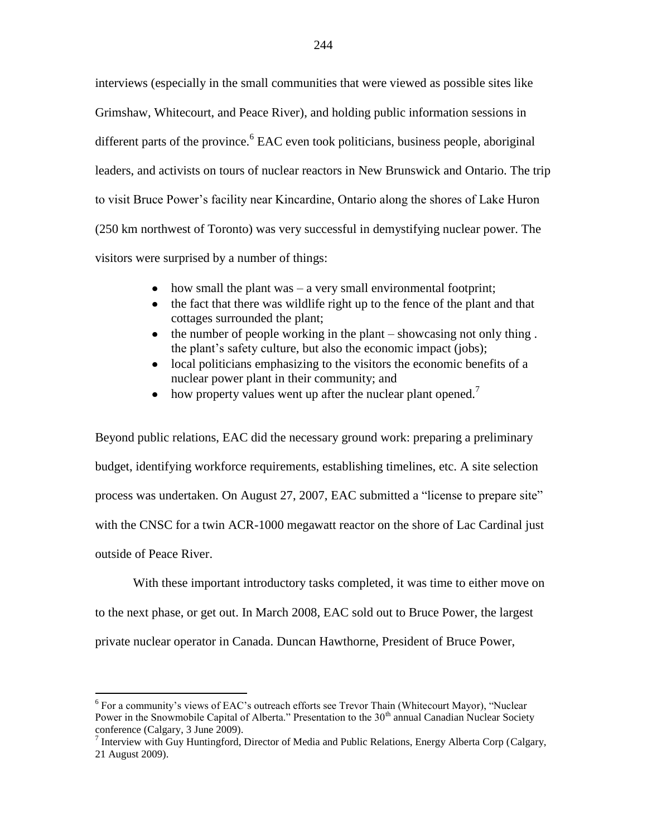interviews (especially in the small communities that were viewed as possible sites like Grimshaw, Whitecourt, and Peace River), and holding public information sessions in different parts of the province. <sup>6</sup> EAC even took politicians, business people, aboriginal leaders, and activists on tours of nuclear reactors in New Brunswick and Ontario. The trip to visit Bruce Power"s facility near Kincardine, Ontario along the shores of Lake Huron (250 km northwest of Toronto) was very successful in demystifying nuclear power. The visitors were surprised by a number of things:

- how small the plant was  $-$  a very small environmental footprint;
- $\bullet$ the fact that there was wildlife right up to the fence of the plant and that cottages surrounded the plant;
- the number of people working in the plant showcasing not only thing .  $\bullet$ the plant's safety culture, but also the economic impact (jobs);
- local politicians emphasizing to the visitors the economic benefits of a  $\bullet$ nuclear power plant in their community; and
- how property values went up after the nuclear plant opened.<sup>7</sup>  $\bullet$

Beyond public relations, EAC did the necessary ground work: preparing a preliminary budget, identifying workforce requirements, establishing timelines, etc. A site selection process was undertaken. On August 27, 2007, EAC submitted a "license to prepare site" with the CNSC for a twin ACR-1000 megawatt reactor on the shore of Lac Cardinal just outside of Peace River.

With these important introductory tasks completed, it was time to either move on to the next phase, or get out. In March 2008, EAC sold out to Bruce Power, the largest private nuclear operator in Canada. Duncan Hawthorne, President of Bruce Power,

 $6$  For a community's views of EAC's outreach efforts see Trevor Thain (Whitecourt Mayor), "Nuclear Power in the Snowmobile Capital of Alberta." Presentation to the  $30<sup>th</sup>$  annual Canadian Nuclear Society conference (Calgary, 3 June 2009).<br><sup>7</sup> Interview with Guy Huntingford, Director of Media and Public Relations, Energy Alberta Corp (Calgary,

<sup>21</sup> August 2009).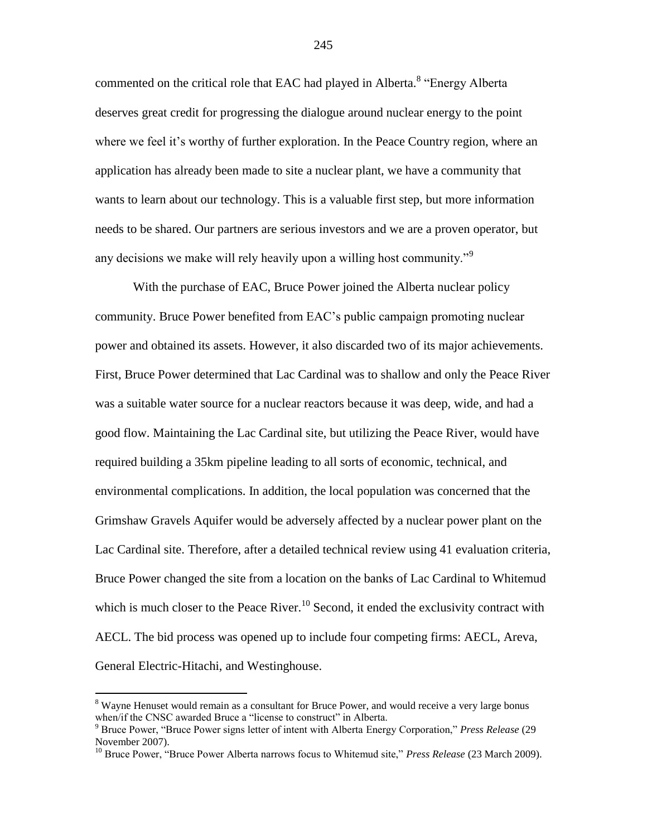commented on the critical role that EAC had played in Alberta.<sup>8</sup> "Energy Alberta deserves great credit for progressing the dialogue around nuclear energy to the point where we feel it's worthy of further exploration. In the Peace Country region, where an application has already been made to site a nuclear plant, we have a community that wants to learn about our technology. This is a valuable first step, but more information needs to be shared. Our partners are serious investors and we are a proven operator, but any decisions we make will rely heavily upon a willing host community."<sup>9</sup>

With the purchase of EAC, Bruce Power joined the Alberta nuclear policy community. Bruce Power benefited from EAC"s public campaign promoting nuclear power and obtained its assets. However, it also discarded two of its major achievements. First, Bruce Power determined that Lac Cardinal was to shallow and only the Peace River was a suitable water source for a nuclear reactors because it was deep, wide, and had a good flow. Maintaining the Lac Cardinal site, but utilizing the Peace River, would have required building a 35km pipeline leading to all sorts of economic, technical, and environmental complications. In addition, the local population was concerned that the Grimshaw Gravels Aquifer would be adversely affected by a nuclear power plant on the Lac Cardinal site. Therefore, after a detailed technical review using 41 evaluation criteria, Bruce Power changed the site from a location on the banks of Lac Cardinal to Whitemud which is much closer to the Peace River.<sup>10</sup> Second, it ended the exclusivity contract with AECL. The bid process was opened up to include four competing firms: AECL, Areva, General Electric-Hitachi, and Westinghouse.

 $\overline{a}$ 

245

 $8$  Wayne Henuset would remain as a consultant for Bruce Power, and would receive a very large bonus when/if the CNSC awarded Bruce a "license to construct" in Alberta.

<sup>9</sup> Bruce Power, "Bruce Power signs letter of intent with Alberta Energy Corporation," *Press Release* (29 November 2007).

<sup>&</sup>lt;sup>10</sup> Bruce Power, "Bruce Power Alberta narrows focus to Whitemud site," Press Release (23 March 2009).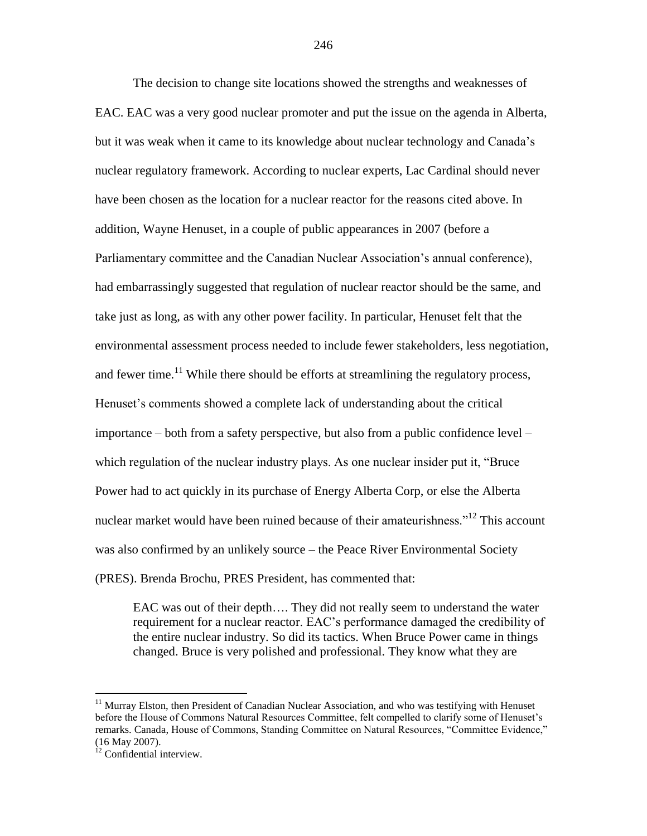The decision to change site locations showed the strengths and weaknesses of EAC. EAC was a very good nuclear promoter and put the issue on the agenda in Alberta, but it was weak when it came to its knowledge about nuclear technology and Canada"s nuclear regulatory framework. According to nuclear experts, Lac Cardinal should never have been chosen as the location for a nuclear reactor for the reasons cited above. In addition, Wayne Henuset, in a couple of public appearances in 2007 (before a Parliamentary committee and the Canadian Nuclear Association"s annual conference), had embarrassingly suggested that regulation of nuclear reactor should be the same, and take just as long, as with any other power facility. In particular, Henuset felt that the environmental assessment process needed to include fewer stakeholders, less negotiation, and fewer time.<sup>11</sup> While there should be efforts at streamlining the regulatory process, Henuset"s comments showed a complete lack of understanding about the critical importance – both from a safety perspective, but also from a public confidence level – which regulation of the nuclear industry plays. As one nuclear insider put it, "Bruce Power had to act quickly in its purchase of Energy Alberta Corp, or else the Alberta nuclear market would have been ruined because of their amateurishness.<sup>"12</sup> This account was also confirmed by an unlikely source – the Peace River Environmental Society (PRES). Brenda Brochu, PRES President, has commented that:

EAC was out of their depth…. They did not really seem to understand the water requirement for a nuclear reactor. EAC"s performance damaged the credibility of the entire nuclear industry. So did its tactics. When Bruce Power came in things changed. Bruce is very polished and professional. They know what they are

<sup>&</sup>lt;sup>11</sup> Murray Elston, then President of Canadian Nuclear Association, and who was testifying with Henuset before the House of Commons Natural Resources Committee, felt compelled to clarify some of Henuset"s remarks. Canada, House of Commons, Standing Committee on Natural Resources, "Committee Evidence," (16 May 2007).

 $12$  Confidential interview.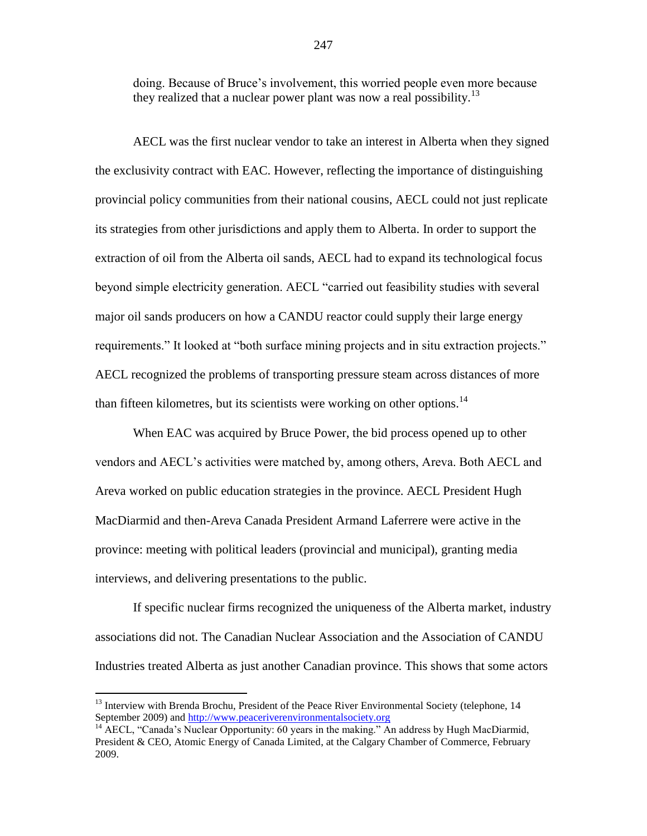doing. Because of Bruce"s involvement, this worried people even more because they realized that a nuclear power plant was now a real possibility.<sup>13</sup>

AECL was the first nuclear vendor to take an interest in Alberta when they signed the exclusivity contract with EAC. However, reflecting the importance of distinguishing provincial policy communities from their national cousins, AECL could not just replicate its strategies from other jurisdictions and apply them to Alberta. In order to support the extraction of oil from the Alberta oil sands, AECL had to expand its technological focus beyond simple electricity generation. AECL "carried out feasibility studies with several major oil sands producers on how a CANDU reactor could supply their large energy requirements." It looked at "both surface mining projects and in situ extraction projects." AECL recognized the problems of transporting pressure steam across distances of more than fifteen kilometres, but its scientists were working on other options.<sup>14</sup>

When EAC was acquired by Bruce Power, the bid process opened up to other vendors and AECL"s activities were matched by, among others, Areva. Both AECL and Areva worked on public education strategies in the province. AECL President Hugh MacDiarmid and then-Areva Canada President Armand Laferrere were active in the province: meeting with political leaders (provincial and municipal), granting media interviews, and delivering presentations to the public.

If specific nuclear firms recognized the uniqueness of the Alberta market, industry associations did not. The Canadian Nuclear Association and the Association of CANDU Industries treated Alberta as just another Canadian province. This shows that some actors

<sup>&</sup>lt;sup>13</sup> Interview with Brenda Brochu, President of the Peace River Environmental Society (telephone, 14 September 2009) and [http://www.peaceriverenvironmentalsociety.org](http://www.peaceriverenvironmentalsociety.org/)

<sup>&</sup>lt;sup>14</sup> AECL, "Canada's Nuclear Opportunity: 60 years in the making." An address by Hugh MacDiarmid, President & CEO, Atomic Energy of Canada Limited, at the Calgary Chamber of Commerce, February 2009.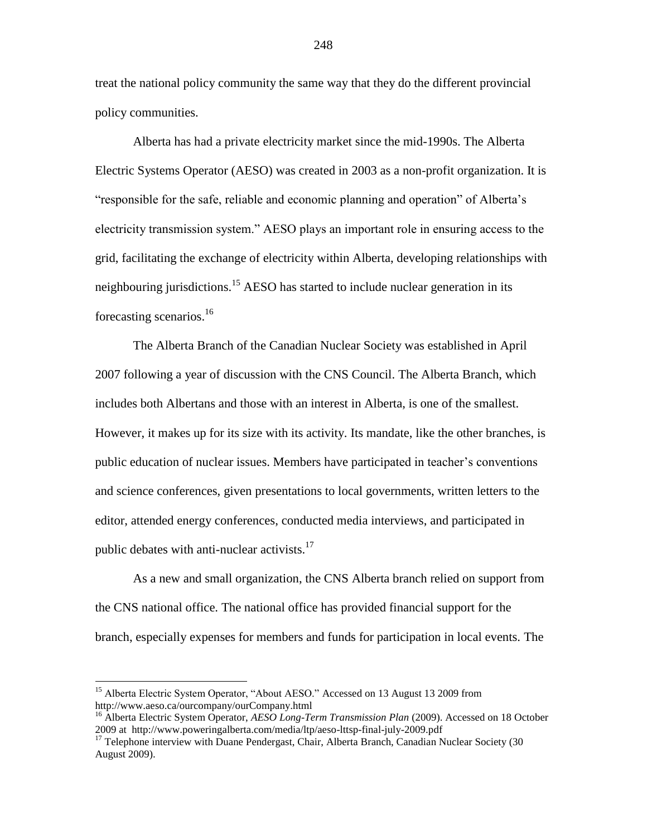treat the national policy community the same way that they do the different provincial policy communities.

Alberta has had a private electricity market since the mid-1990s. The Alberta Electric Systems Operator (AESO) was created in 2003 as a non-profit organization. It is "responsible for the safe, reliable and economic planning and operation" of Alberta"s electricity transmission system." AESO plays an important role in ensuring access to the grid, facilitating the exchange of electricity within Alberta, developing relationships with neighbouring jurisdictions.<sup>15</sup> AESO has started to include nuclear generation in its forecasting scenarios.<sup>16</sup>

The Alberta Branch of the Canadian Nuclear Society was established in April 2007 following a year of discussion with the CNS Council. The Alberta Branch, which includes both Albertans and those with an interest in Alberta, is one of the smallest. However, it makes up for its size with its activity. Its mandate, like the other branches, is public education of nuclear issues. Members have participated in teacher"s conventions and science conferences, given presentations to local governments, written letters to the editor, attended energy conferences, conducted media interviews, and participated in public debates with anti-nuclear activists. $17$ 

As a new and small organization, the CNS Alberta branch relied on support from the CNS national office. The national office has provided financial support for the branch, especially expenses for members and funds for participation in local events. The

<sup>&</sup>lt;sup>15</sup> Alberta Electric System Operator, "About AESO." Accessed on 13 August 13 2009 from http://www.aeso.ca/ourcompany/ourCompany.html

<sup>16</sup> Alberta Electric System Operator, *AESO Long-Term Transmission Plan* (2009). Accessed on 18 October 2009 at http://www.poweringalberta.com/media/ltp/aeso-lttsp-final-july-2009.pdf

<sup>&</sup>lt;sup>17</sup> Telephone interview with Duane Pendergast, Chair, Alberta Branch, Canadian Nuclear Society (30 August 2009).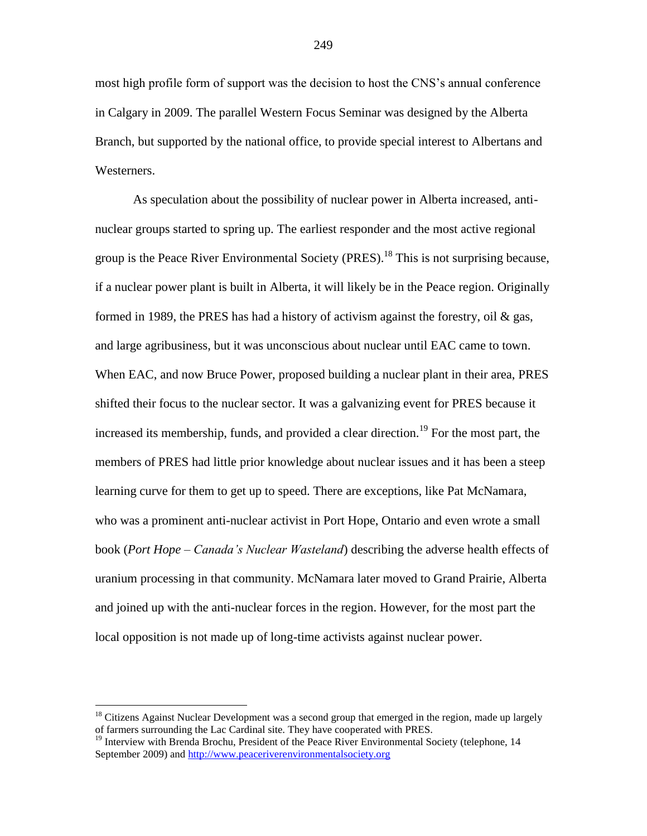most high profile form of support was the decision to host the CNS"s annual conference in Calgary in 2009. The parallel Western Focus Seminar was designed by the Alberta Branch, but supported by the national office, to provide special interest to Albertans and Westerners.

As speculation about the possibility of nuclear power in Alberta increased, antinuclear groups started to spring up. The earliest responder and the most active regional group is the Peace River Environmental Society (PRES).<sup>18</sup> This is not surprising because, if a nuclear power plant is built in Alberta, it will likely be in the Peace region. Originally formed in 1989, the PRES has had a history of activism against the forestry, oil  $\&$  gas, and large agribusiness, but it was unconscious about nuclear until EAC came to town. When EAC, and now Bruce Power, proposed building a nuclear plant in their area, PRES shifted their focus to the nuclear sector. It was a galvanizing event for PRES because it increased its membership, funds, and provided a clear direction.<sup>19</sup> For the most part, the members of PRES had little prior knowledge about nuclear issues and it has been a steep learning curve for them to get up to speed. There are exceptions, like Pat McNamara, who was a prominent anti-nuclear activist in Port Hope, Ontario and even wrote a small book (*Port Hope – Canada's Nuclear Wasteland*) describing the adverse health effects of uranium processing in that community. McNamara later moved to Grand Prairie, Alberta and joined up with the anti-nuclear forces in the region. However, for the most part the local opposition is not made up of long-time activists against nuclear power.

 $18$  Citizens Against Nuclear Development was a second group that emerged in the region, made up largely of farmers surrounding the Lac Cardinal site. They have cooperated with PRES.

<sup>&</sup>lt;sup>19</sup> Interview with Brenda Brochu, President of the Peace River Environmental Society (telephone, 14 September 2009) and [http://www.peaceriverenvironmentalsociety.org](http://www.peaceriverenvironmentalsociety.org/)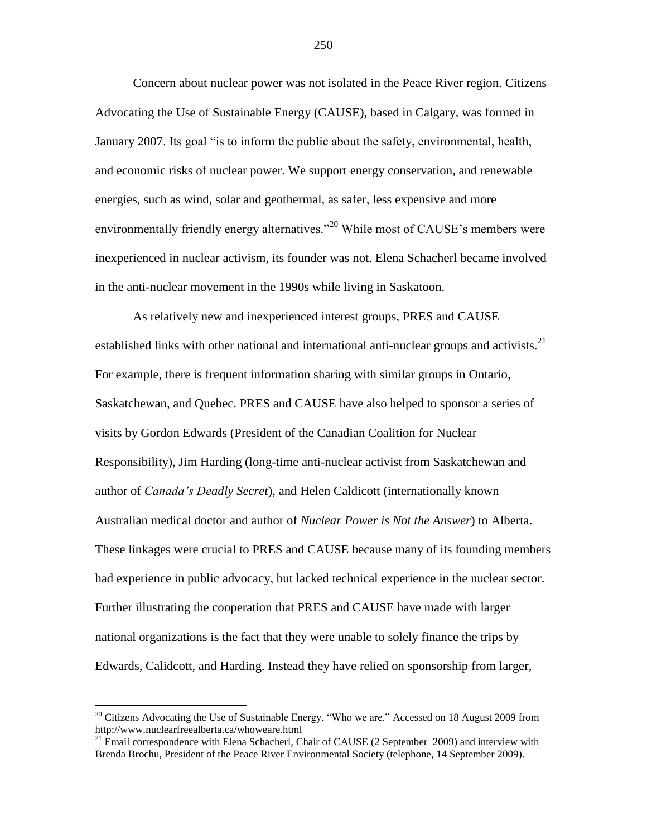Concern about nuclear power was not isolated in the Peace River region. Citizens Advocating the Use of Sustainable Energy (CAUSE), based in Calgary, was formed in January 2007. Its goal "is to inform the public about the safety, environmental, health, and economic risks of nuclear power. We support energy conservation, and renewable energies, such as wind, solar and geothermal, as safer, less expensive and more environmentally friendly energy alternatives."<sup>20</sup> While most of CAUSE's members were inexperienced in nuclear activism, its founder was not. Elena Schacherl became involved in the anti-nuclear movement in the 1990s while living in Saskatoon.

As relatively new and inexperienced interest groups, PRES and CAUSE established links with other national and international anti-nuclear groups and activists.<sup>21</sup> For example, there is frequent information sharing with similar groups in Ontario, Saskatchewan, and Quebec. PRES and CAUSE have also helped to sponsor a series of visits by Gordon Edwards (President of the Canadian Coalition for Nuclear Responsibility), Jim Harding (long-time anti-nuclear activist from Saskatchewan and author of *Canada's Deadly Secret*), and Helen Caldicott (internationally known Australian medical doctor and author of *Nuclear Power is Not the Answer*) to Alberta. These linkages were crucial to PRES and CAUSE because many of its founding members had experience in public advocacy, but lacked technical experience in the nuclear sector. Further illustrating the cooperation that PRES and CAUSE have made with larger national organizations is the fact that they were unable to solely finance the trips by Edwards, Calidcott, and Harding. Instead they have relied on sponsorship from larger,

 $^{20}$  Citizens Advocating the Use of Sustainable Energy, "Who we are." Accessed on 18 August 2009 from http://www.nuclearfreealberta.ca/whoweare.html

<sup>&</sup>lt;sup>21</sup> Email correspondence with Elena Schacherl, Chair of CAUSE (2 September 2009) and interview with Brenda Brochu, President of the Peace River Environmental Society (telephone, 14 September 2009).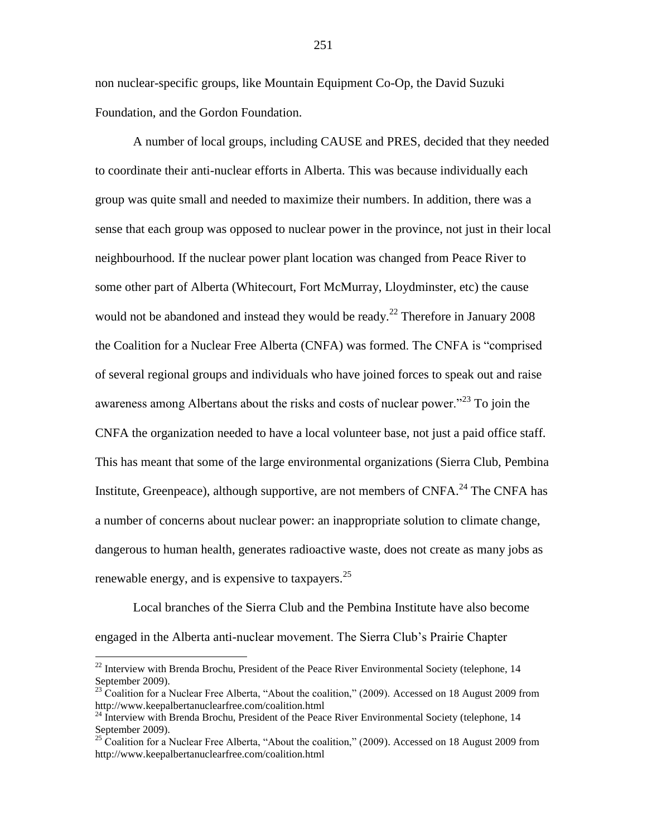non nuclear-specific groups, like Mountain Equipment Co-Op, the David Suzuki Foundation, and the Gordon Foundation.

A number of local groups, including CAUSE and PRES, decided that they needed to coordinate their anti-nuclear efforts in Alberta. This was because individually each group was quite small and needed to maximize their numbers. In addition, there was a sense that each group was opposed to nuclear power in the province, not just in their local neighbourhood. If the nuclear power plant location was changed from Peace River to some other part of Alberta (Whitecourt, Fort McMurray, Lloydminster, etc) the cause would not be abandoned and instead they would be ready.<sup>22</sup> Therefore in January 2008 the Coalition for a Nuclear Free Alberta (CNFA) was formed. The CNFA is "comprised of several regional groups and individuals who have joined forces to speak out and raise awareness among Albertans about the risks and costs of nuclear power.<sup>23</sup> To join the CNFA the organization needed to have a local volunteer base, not just a paid office staff. This has meant that some of the large environmental organizations (Sierra Club, Pembina Institute, Greenpeace), although supportive, are not members of CNFA.<sup>24</sup> The CNFA has a number of concerns about nuclear power: an inappropriate solution to climate change, dangerous to human health, generates radioactive waste, does not create as many jobs as renewable energy, and is expensive to taxpayers. $^{25}$ 

Local branches of the Sierra Club and the Pembina Institute have also become engaged in the Alberta anti-nuclear movement. The Sierra Club"s Prairie Chapter

 $^{22}$  Interview with Brenda Brochu, President of the Peace River Environmental Society (telephone, 14) September 2009).

 $^{23}$  Coalition for a Nuclear Free Alberta, "About the coalition," (2009). Accessed on 18 August 2009 from http://www.keepalbertanuclearfree.com/coalition.html

<sup>&</sup>lt;sup>24</sup> Interview with Brenda Brochu, President of the Peace River Environmental Society (telephone, 14 September 2009).

<sup>&</sup>lt;sup>25</sup> Coalition for a Nuclear Free Alberta, "About the coalition," (2009). Accessed on 18 August 2009 from http://www.keepalbertanuclearfree.com/coalition.html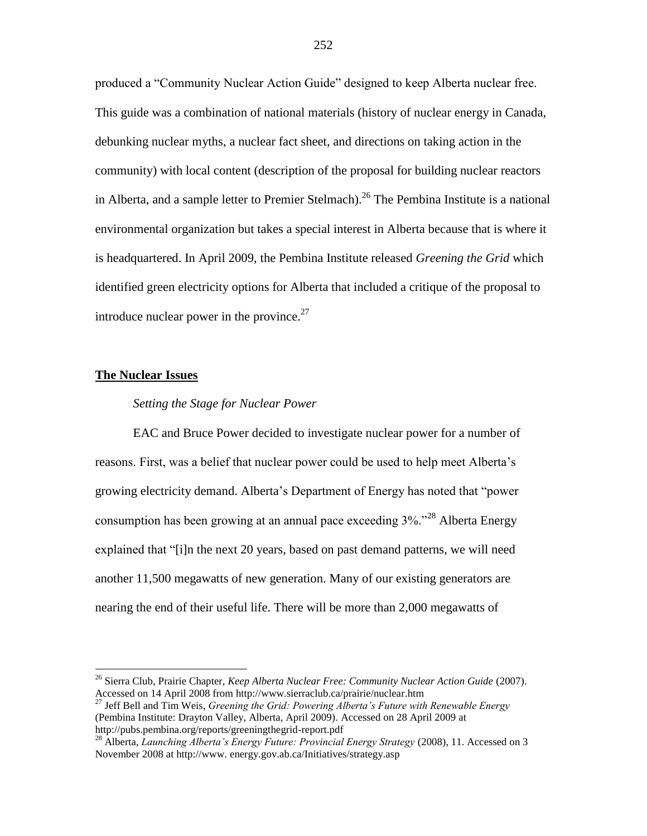produced a "Community Nuclear Action Guide" designed to keep Alberta nuclear free. This guide was a combination of national materials (history of nuclear energy in Canada, debunking nuclear myths, a nuclear fact sheet, and directions on taking action in the community) with local content (description of the proposal for building nuclear reactors in Alberta, and a sample letter to Premier Stelmach).<sup>26</sup> The Pembina Institute is a national environmental organization but takes a special interest in Alberta because that is where it is headquartered. In April 2009, the Pembina Institute released *Greening the Grid* which identified green electricity options for Alberta that included a critique of the proposal to introduce nuclear power in the province. $27$ 

#### **The Nuclear Issues**

 $\overline{a}$ 

### *Setting the Stage for Nuclear Power*

EAC and Bruce Power decided to investigate nuclear power for a number of reasons. First, was a belief that nuclear power could be used to help meet Alberta"s growing electricity demand. Alberta"s Department of Energy has noted that "power consumption has been growing at an annual pace exceeding 3%."<sup>28</sup> Alberta Energy explained that "[i]n the next 20 years, based on past demand patterns, we will need another 11,500 megawatts of new generation. Many of our existing generators are nearing the end of their useful life. There will be more than 2,000 megawatts of

<sup>26</sup> Sierra Club, Prairie Chapter, *Keep Alberta Nuclear Free: Community Nuclear Action Guide* (2007). Accessed on 14 April 2008 from http://www.sierraclub.ca/prairie/nuclear.htm

<sup>27</sup> Jeff Bell and Tim Weis, *Greening the Grid: Powering Alberta's Future with Renewable Energy*  (Pembina Institute: Drayton Valley, Alberta, April 2009). Accessed on 28 April 2009 at http://pubs.pembina.org/reports/greeningthegrid-report.pdf

<sup>&</sup>lt;sup>28</sup> Alberta, *Launching Alberta's Energy Future: Provincial Energy Strategy (2008), 11. Accessed on 3* November 2008 at http://www. energy.gov.ab.ca/Initiatives/strategy.asp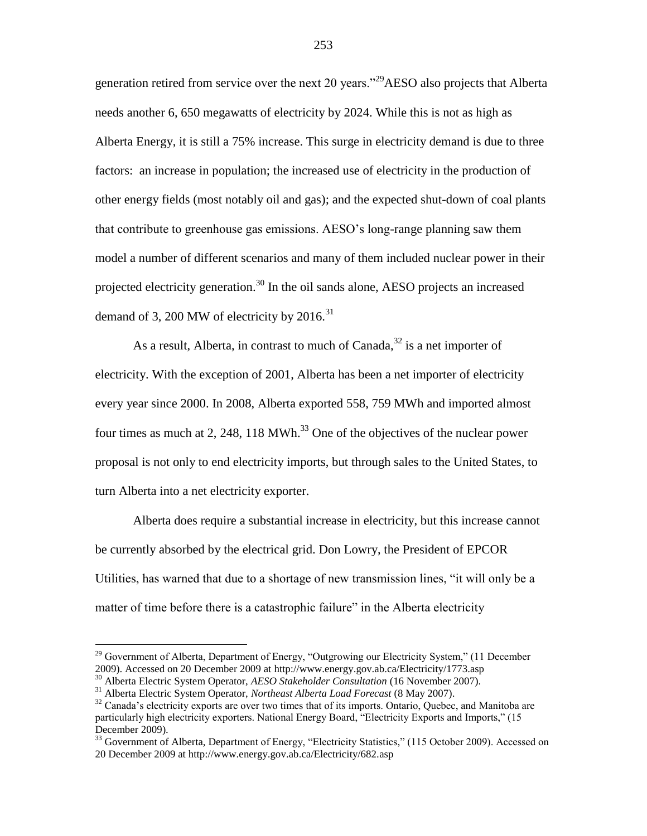generation retired from service over the next 20 years."<sup>29</sup>AESO also projects that Alberta needs another 6, 650 megawatts of electricity by 2024. While this is not as high as Alberta Energy, it is still a 75% increase. This surge in electricity demand is due to three factors: an increase in population; the increased use of electricity in the production of other energy fields (most notably oil and gas); and the expected shut-down of coal plants that contribute to greenhouse gas emissions. AESO"s long-range planning saw them model a number of different scenarios and many of them included nuclear power in their projected electricity generation.<sup>30</sup> In the oil sands alone, AESO projects an increased demand of 3, 200 MW of electricity by  $2016$ .<sup>31</sup>

As a result, Alberta, in contrast to much of Canada, $32$  is a net importer of electricity. With the exception of 2001, Alberta has been a net importer of electricity every year since 2000. In 2008, Alberta exported 558, 759 MWh and imported almost four times as much at 2, 248, 118 MWh. $^{33}$  One of the objectives of the nuclear power proposal is not only to end electricity imports, but through sales to the United States, to turn Alberta into a net electricity exporter.

Alberta does require a substantial increase in electricity, but this increase cannot be currently absorbed by the electrical grid. Don Lowry, the President of EPCOR Utilities, has warned that due to a shortage of new transmission lines, "it will only be a matter of time before there is a catastrophic failure" in the Alberta electricity

 $29$  Government of Alberta, Department of Energy, "Outgrowing our Electricity System," (11 December 2009). Accessed on 20 December 2009 at http://www.energy.gov.ab.ca/Electricity/1773.asp

<sup>30</sup> Alberta Electric System Operator, *AESO Stakeholder Consultation* (16 November 2007).

<sup>31</sup> Alberta Electric System Operator, *Northeast Alberta Load Forecast* (8 May 2007).

<sup>&</sup>lt;sup>32</sup> Canada's electricity exports are over two times that of its imports. Ontario, Quebec, and Manitoba are particularly high electricity exporters. National Energy Board, "Electricity Exports and Imports," (15 December 2009).

<sup>&</sup>lt;sup>33</sup> Government of Alberta, Department of Energy, "Electricity Statistics," (115 October 2009). Accessed on 20 December 2009 at http://www.energy.gov.ab.ca/Electricity/682.asp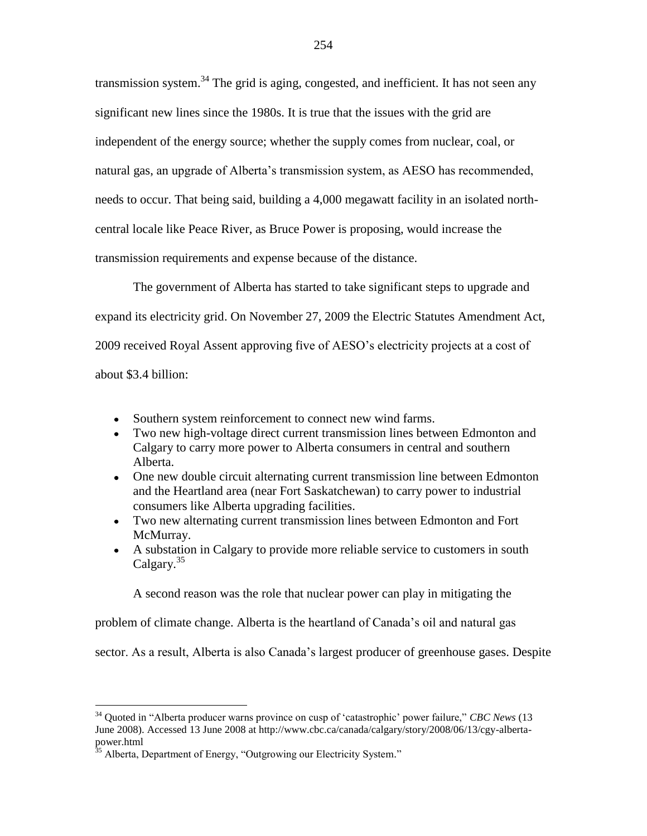transmission system.<sup>34</sup> The grid is aging, congested, and inefficient. It has not seen any significant new lines since the 1980s. It is true that the issues with the grid are independent of the energy source; whether the supply comes from nuclear, coal, or natural gas, an upgrade of Alberta"s transmission system, as AESO has recommended, needs to occur. That being said, building a 4,000 megawatt facility in an isolated northcentral locale like Peace River, as Bruce Power is proposing, would increase the transmission requirements and expense because of the distance.

The government of Alberta has started to take significant steps to upgrade and expand its electricity grid. On November 27, 2009 the Electric Statutes Amendment Act, 2009 received Royal Assent approving five of AESO"s electricity projects at a cost of about \$3.4 billion:

- Southern system reinforcement to connect new wind farms.
- Two new high-voltage direct current transmission lines between Edmonton and Calgary to carry more power to Alberta consumers in central and southern Alberta.
- One new double circuit alternating current transmission line between Edmonton and the Heartland area (near Fort Saskatchewan) to carry power to industrial consumers like Alberta upgrading facilities.
- Two new alternating current transmission lines between Edmonton and Fort McMurray.
- A substation in Calgary to provide more reliable service to customers in south Calgary.<sup>35</sup>

A second reason was the role that nuclear power can play in mitigating the

problem of climate change. Alberta is the heartland of Canada"s oil and natural gas

sector. As a result, Alberta is also Canada"s largest producer of greenhouse gases. Despite

<sup>34</sup> Quoted in "Alberta producer warns province on cusp of "catastrophic" power failure," *CBC News* (13 June 2008). Accessed 13 June 2008 at http://www.cbc.ca/canada/calgary/story/2008/06/13/cgy-albertapower.html

 $35$  Alberta, Department of Energy, "Outgrowing our Electricity System."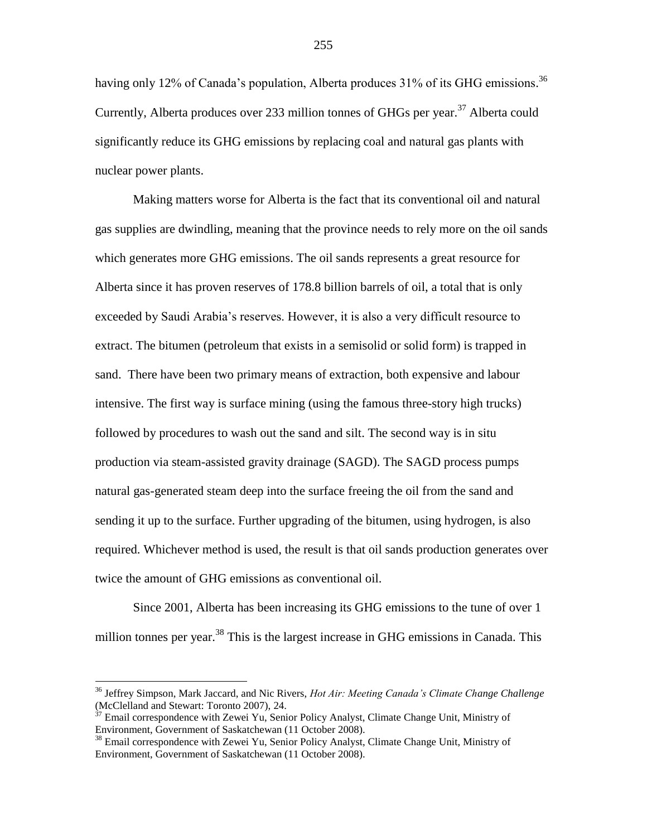having only 12% of Canada's population, Alberta produces 31% of its GHG emissions.<sup>36</sup> Currently, Alberta produces over 233 million tonnes of GHGs per year.<sup>37</sup> Alberta could significantly reduce its GHG emissions by replacing coal and natural gas plants with nuclear power plants.

Making matters worse for Alberta is the fact that its conventional oil and natural gas supplies are dwindling, meaning that the province needs to rely more on the oil sands which generates more GHG emissions. The oil sands represents a great resource for Alberta since it has proven reserves of 178.8 billion barrels of oil, a total that is only exceeded by Saudi Arabia"s reserves. However, it is also a very difficult resource to extract. The bitumen (petroleum that exists in a semisolid or solid form) is trapped in sand. There have been two primary means of extraction, both expensive and labour intensive. The first way is surface mining (using the famous three-story high trucks) followed by procedures to wash out the sand and silt. The second way is in situ production via steam-assisted gravity drainage (SAGD). The SAGD process pumps natural gas-generated steam deep into the surface freeing the oil from the sand and sending it up to the surface. Further upgrading of the bitumen, using hydrogen, is also required. Whichever method is used, the result is that oil sands production generates over twice the amount of GHG emissions as conventional oil.

Since 2001, Alberta has been increasing its GHG emissions to the tune of over 1 million tonnes per year.<sup>38</sup> This is the largest increase in GHG emissions in Canada. This

<sup>36</sup> Jeffrey Simpson, Mark Jaccard, and Nic Rivers, *Hot Air: Meeting Canada's Climate Change Challenge*  (McClelland and Stewart: Toronto 2007), 24.

 $37$  Email correspondence with Zewei Yu, Senior Policy Analyst, Climate Change Unit, Ministry of Environment, Government of Saskatchewan (11 October 2008).

<sup>&</sup>lt;sup>38</sup> Email correspondence with Zewei Yu, Senior Policy Analyst, Climate Change Unit, Ministry of Environment, Government of Saskatchewan (11 October 2008).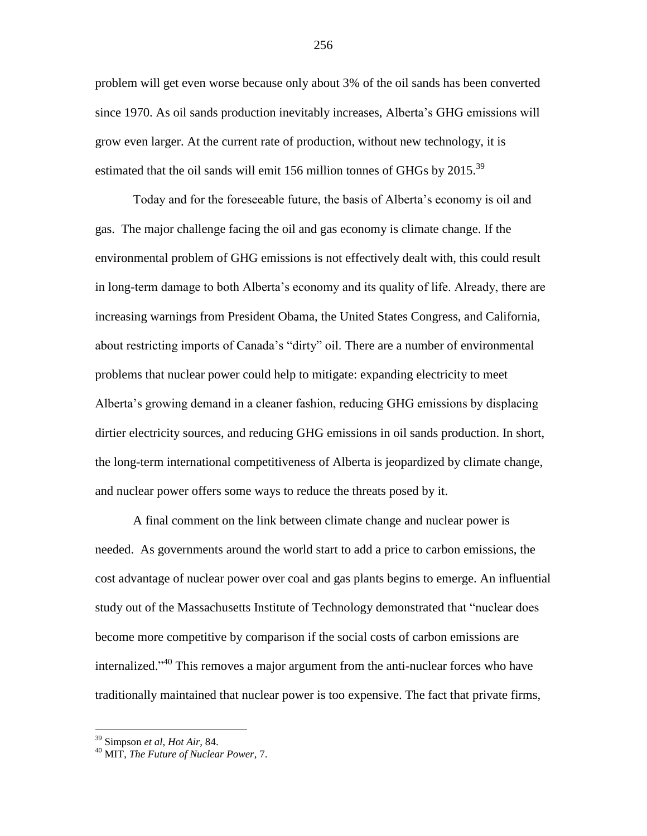problem will get even worse because only about 3% of the oil sands has been converted since 1970. As oil sands production inevitably increases, Alberta"s GHG emissions will grow even larger. At the current rate of production, without new technology, it is estimated that the oil sands will emit 156 million tonnes of GHGs by  $2015$ .<sup>39</sup>

Today and for the foreseeable future, the basis of Alberta"s economy is oil and gas. The major challenge facing the oil and gas economy is climate change. If the environmental problem of GHG emissions is not effectively dealt with, this could result in long-term damage to both Alberta"s economy and its quality of life. Already, there are increasing warnings from President Obama, the United States Congress, and California, about restricting imports of Canada"s "dirty" oil. There are a number of environmental problems that nuclear power could help to mitigate: expanding electricity to meet Alberta"s growing demand in a cleaner fashion, reducing GHG emissions by displacing dirtier electricity sources, and reducing GHG emissions in oil sands production. In short, the long-term international competitiveness of Alberta is jeopardized by climate change, and nuclear power offers some ways to reduce the threats posed by it.

A final comment on the link between climate change and nuclear power is needed. As governments around the world start to add a price to carbon emissions, the cost advantage of nuclear power over coal and gas plants begins to emerge. An influential study out of the Massachusetts Institute of Technology demonstrated that "nuclear does become more competitive by comparison if the social costs of carbon emissions are internalized."<sup>40</sup> This removes a major argument from the anti-nuclear forces who have traditionally maintained that nuclear power is too expensive. The fact that private firms,

<sup>39</sup> Simpson *et al*, *Hot Air,* 84.

<sup>40</sup> MIT, *The Future of Nuclear Power*, 7.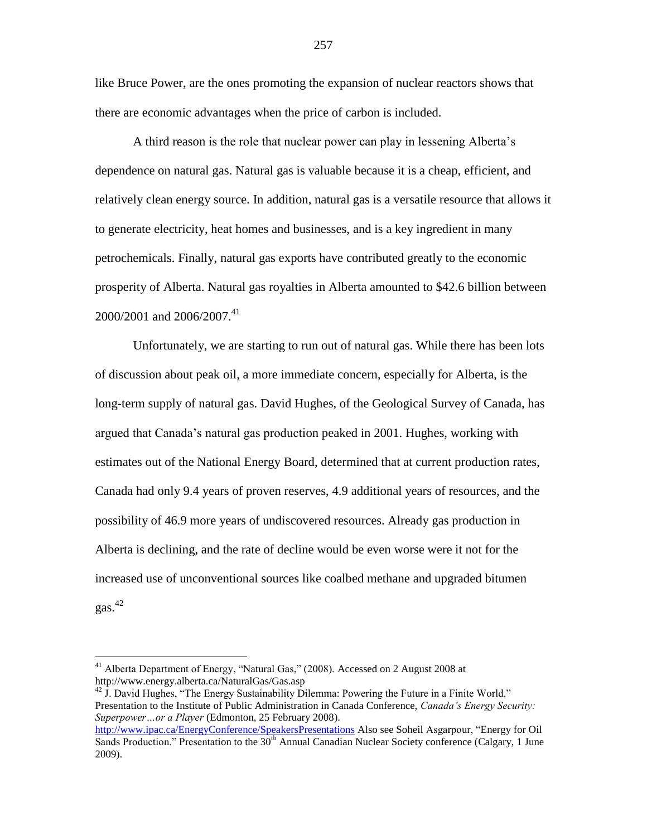like Bruce Power, are the ones promoting the expansion of nuclear reactors shows that there are economic advantages when the price of carbon is included.

A third reason is the role that nuclear power can play in lessening Alberta"s dependence on natural gas. Natural gas is valuable because it is a cheap, efficient, and relatively clean energy source. In addition, natural gas is a versatile resource that allows it to generate electricity, heat homes and businesses, and is a key ingredient in many petrochemicals. Finally, natural gas exports have contributed greatly to the economic prosperity of Alberta. Natural gas royalties in Alberta amounted to \$42.6 billion between 2000/2001 and 2006/2007. 41

Unfortunately, we are starting to run out of natural gas. While there has been lots of discussion about peak oil, a more immediate concern, especially for Alberta, is the long-term supply of natural gas. David Hughes, of the Geological Survey of Canada, has argued that Canada"s natural gas production peaked in 2001. Hughes, working with estimates out of the National Energy Board, determined that at current production rates, Canada had only 9.4 years of proven reserves, 4.9 additional years of resources, and the possibility of 46.9 more years of undiscovered resources. Already gas production in Alberta is declining, and the rate of decline would be even worse were it not for the increased use of unconventional sources like coalbed methane and upgraded bitumen gas. 42

 $41$  Alberta Department of Energy, "Natural Gas," (2008). Accessed on 2 August 2008 at http://www.energy.alberta.ca/NaturalGas/Gas.asp

<sup>&</sup>lt;sup>42</sup> J. David Hughes, "The Energy Sustainability Dilemma: Powering the Future in a Finite World." Presentation to the Institute of Public Administration in Canada Conference, *Canada's Energy Security: Superpower…or a Player* (Edmonton, 25 February 2008).

<http://www.ipac.ca/EnergyConference/SpeakersPresentations> Also see Soheil Asgarpour, "Energy for Oil Sands Production." Presentation to the  $30<sup>th</sup>$  Annual Canadian Nuclear Society conference (Calgary, 1 June 2009).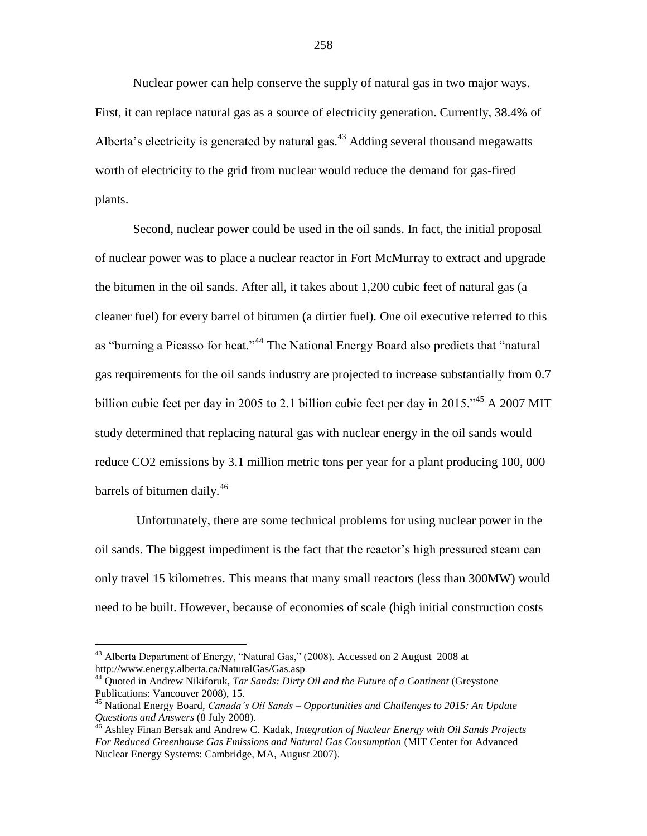Nuclear power can help conserve the supply of natural gas in two major ways. First, it can replace natural gas as a source of electricity generation. Currently, 38.4% of Alberta's electricity is generated by natural gas. $43$  Adding several thousand megawatts worth of electricity to the grid from nuclear would reduce the demand for gas-fired plants.

Second, nuclear power could be used in the oil sands. In fact, the initial proposal of nuclear power was to place a nuclear reactor in Fort McMurray to extract and upgrade the bitumen in the oil sands. After all, it takes about 1,200 cubic feet of natural gas (a cleaner fuel) for every barrel of bitumen (a dirtier fuel). One oil executive referred to this as "burning a Picasso for heat."<sup>44</sup> The National Energy Board also predicts that "natural gas requirements for the oil sands industry are projected to increase substantially from 0.7 billion cubic feet per day in 2005 to 2.1 billion cubic feet per day in 2015.<sup> $35$ </sup> A 2007 MIT study determined that replacing natural gas with nuclear energy in the oil sands would reduce CO2 emissions by 3.1 million metric tons per year for a plant producing 100, 000 barrels of bitumen daily.<sup>46</sup>

Unfortunately, there are some technical problems for using nuclear power in the oil sands. The biggest impediment is the fact that the reactor"s high pressured steam can only travel 15 kilometres. This means that many small reactors (less than 300MW) would need to be built. However, because of economies of scale (high initial construction costs

<sup>&</sup>lt;sup>43</sup> Alberta Department of Energy, "Natural Gas," (2008). Accessed on 2 August 2008 at http://www.energy.alberta.ca/NaturalGas/Gas.asp

<sup>44</sup> Quoted in Andrew Nikiforuk, *Tar Sands: Dirty Oil and the Future of a Continent* (Greystone Publications: Vancouver 2008), 15.

<sup>45</sup> National Energy Board, *Canada's Oil Sands – Opportunities and Challenges to 2015: An Update Questions and Answers* (8 July 2008).

<sup>46</sup> Ashley Finan Bersak and Andrew C. Kadak, *Integration of Nuclear Energy with Oil Sands Projects For Reduced Greenhouse Gas Emissions and Natural Gas Consumption* (MIT Center for Advanced Nuclear Energy Systems: Cambridge, MA, August 2007).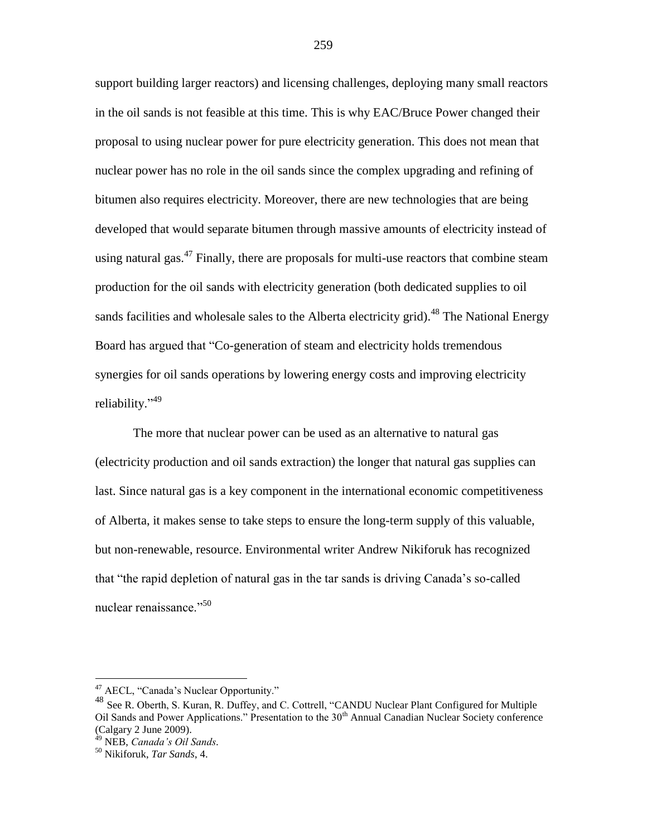support building larger reactors) and licensing challenges, deploying many small reactors in the oil sands is not feasible at this time. This is why EAC/Bruce Power changed their proposal to using nuclear power for pure electricity generation. This does not mean that nuclear power has no role in the oil sands since the complex upgrading and refining of bitumen also requires electricity. Moreover, there are new technologies that are being developed that would separate bitumen through massive amounts of electricity instead of using natural gas.<sup>47</sup> Finally, there are proposals for multi-use reactors that combine steam production for the oil sands with electricity generation (both dedicated supplies to oil sands facilities and wholesale sales to the Alberta electricity grid).<sup>48</sup> The National Energy Board has argued that "Co-generation of steam and electricity holds tremendous synergies for oil sands operations by lowering energy costs and improving electricity reliability."<sup>49</sup>

The more that nuclear power can be used as an alternative to natural gas (electricity production and oil sands extraction) the longer that natural gas supplies can last. Since natural gas is a key component in the international economic competitiveness of Alberta, it makes sense to take steps to ensure the long-term supply of this valuable, but non-renewable, resource. Environmental writer Andrew Nikiforuk has recognized that "the rapid depletion of natural gas in the tar sands is driving Canada"s so-called nuclear renaissance."<sup>50</sup>

<sup>&</sup>lt;sup>47</sup> AECL, "Canada's Nuclear Opportunity."

<sup>48</sup> See R. Oberth, S. Kuran, R. Duffey, and C. Cottrell, "CANDU Nuclear Plant Configured for Multiple Oil Sands and Power Applications." Presentation to the  $30<sup>th</sup>$  Annual Canadian Nuclear Society conference (Calgary 2 June 2009).

<sup>49</sup> NEB, *Canada's Oil Sands.*

<sup>50</sup> Nikiforuk, *Tar Sands*, 4.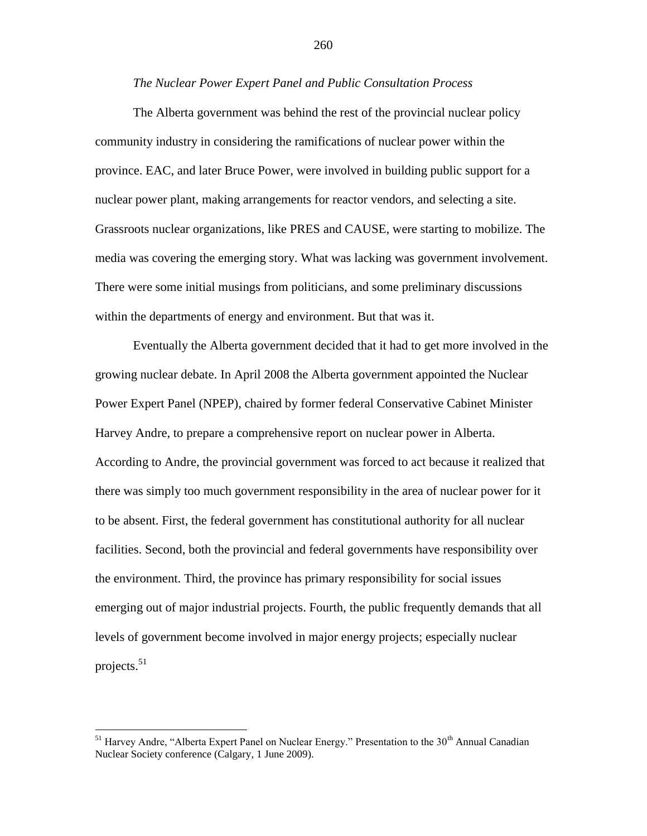#### *The Nuclear Power Expert Panel and Public Consultation Process*

The Alberta government was behind the rest of the provincial nuclear policy community industry in considering the ramifications of nuclear power within the province. EAC, and later Bruce Power, were involved in building public support for a nuclear power plant, making arrangements for reactor vendors, and selecting a site. Grassroots nuclear organizations, like PRES and CAUSE, were starting to mobilize. The media was covering the emerging story. What was lacking was government involvement. There were some initial musings from politicians, and some preliminary discussions within the departments of energy and environment. But that was it.

Eventually the Alberta government decided that it had to get more involved in the growing nuclear debate. In April 2008 the Alberta government appointed the Nuclear Power Expert Panel (NPEP), chaired by former federal Conservative Cabinet Minister Harvey Andre, to prepare a comprehensive report on nuclear power in Alberta. According to Andre, the provincial government was forced to act because it realized that there was simply too much government responsibility in the area of nuclear power for it to be absent. First, the federal government has constitutional authority for all nuclear facilities. Second, both the provincial and federal governments have responsibility over the environment. Third, the province has primary responsibility for social issues emerging out of major industrial projects. Fourth, the public frequently demands that all levels of government become involved in major energy projects; especially nuclear projects. $51$ 

 $<sup>51</sup>$  Harvey Andre, "Alberta Expert Panel on Nuclear Energy." Presentation to the 30<sup>th</sup> Annual Canadian</sup> Nuclear Society conference (Calgary, 1 June 2009).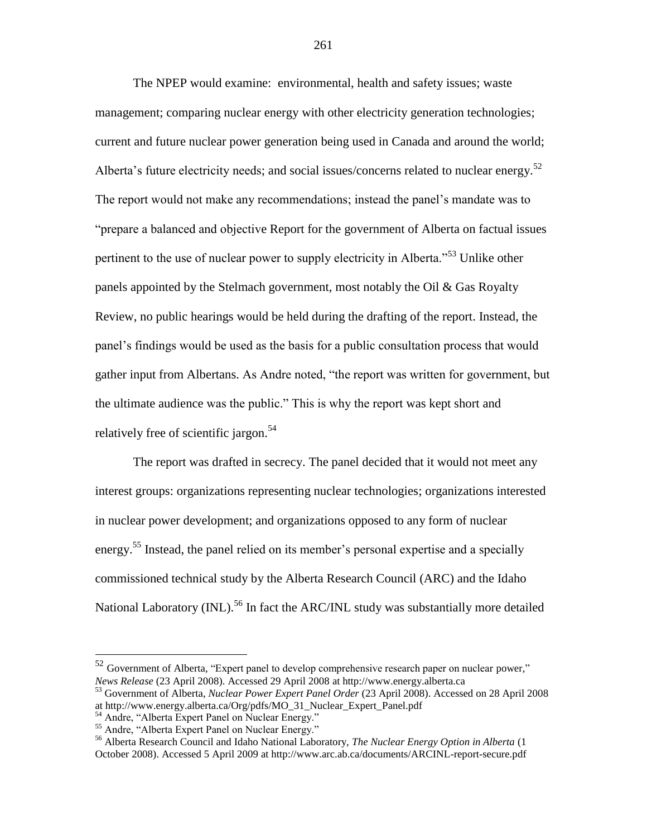The NPEP would examine: environmental, health and safety issues; waste management; comparing nuclear energy with other electricity generation technologies; current and future nuclear power generation being used in Canada and around the world; Alberta's future electricity needs; and social issues/concerns related to nuclear energy.<sup>52</sup> The report would not make any recommendations; instead the panel"s mandate was to "prepare a balanced and objective Report for the government of Alberta on factual issues pertinent to the use of nuclear power to supply electricity in Alberta."<sup>53</sup> Unlike other panels appointed by the Stelmach government, most notably the Oil & Gas Royalty Review, no public hearings would be held during the drafting of the report. Instead, the panel"s findings would be used as the basis for a public consultation process that would gather input from Albertans. As Andre noted, "the report was written for government, but the ultimate audience was the public." This is why the report was kept short and relatively free of scientific jargon.<sup>54</sup>

The report was drafted in secrecy. The panel decided that it would not meet any interest groups: organizations representing nuclear technologies; organizations interested in nuclear power development; and organizations opposed to any form of nuclear energy.<sup>55</sup> Instead, the panel relied on its member's personal expertise and a specially commissioned technical study by the Alberta Research Council (ARC) and the Idaho National Laboratory  $(INL)$ <sup>56</sup> In fact the ARC/INL study was substantially more detailed

 $52$  Government of Alberta, "Expert panel to develop comprehensive research paper on nuclear power," *News Release* (23 April 2008). Accessed 29 April 2008 at http://www.energy.alberta.ca

<sup>53</sup> Government of Alberta, *Nuclear Power Expert Panel Order* (23 April 2008). Accessed on 28 April 2008 at http://www.energy.alberta.ca/Org/pdfs/MO\_31\_Nuclear\_Expert\_Panel.pdf

<sup>54</sup> Andre, "Alberta Expert Panel on Nuclear Energy."

<sup>&</sup>lt;sup>55</sup> Andre, "Alberta Expert Panel on Nuclear Energy."

<sup>56</sup> Alberta Research Council and Idaho National Laboratory, *The Nuclear Energy Option in Alberta* (1 October 2008). Accessed 5 April 2009 at http://www.arc.ab.ca/documents/ARCINL-report-secure.pdf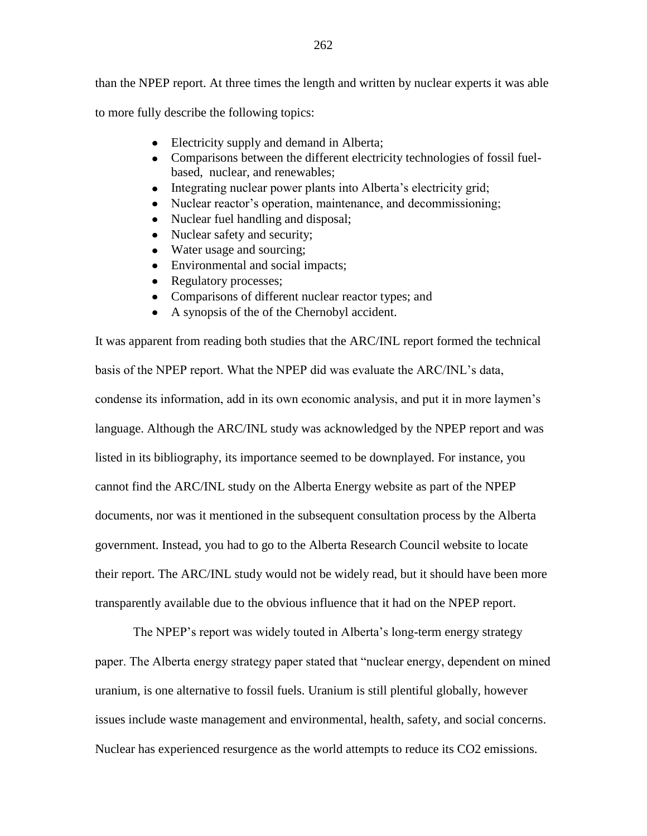to more fully describe the following topics:

- Electricity supply and demand in Alberta;
- Comparisons between the different electricity technologies of fossil fuelbased, nuclear, and renewables;
- Integrating nuclear power plants into Alberta's electricity grid;
- Nuclear reactor's operation, maintenance, and decommissioning;  $\bullet$
- Nuclear fuel handling and disposal;  $\bullet$
- Nuclear safety and security;
- Water usage and sourcing;
- Environmental and social impacts;
- Regulatory processes;  $\bullet$
- Comparisons of different nuclear reactor types; and
- A synopsis of the of the Chernobyl accident.

It was apparent from reading both studies that the ARC/INL report formed the technical basis of the NPEP report. What the NPEP did was evaluate the ARC/INL"s data, condense its information, add in its own economic analysis, and put it in more laymen"s language. Although the ARC/INL study was acknowledged by the NPEP report and was listed in its bibliography, its importance seemed to be downplayed. For instance, you cannot find the ARC/INL study on the Alberta Energy website as part of the NPEP documents, nor was it mentioned in the subsequent consultation process by the Alberta government. Instead, you had to go to the Alberta Research Council website to locate their report. The ARC/INL study would not be widely read, but it should have been more transparently available due to the obvious influence that it had on the NPEP report.

The NPEP's report was widely touted in Alberta's long-term energy strategy paper. The Alberta energy strategy paper stated that "nuclear energy, dependent on mined uranium, is one alternative to fossil fuels. Uranium is still plentiful globally, however issues include waste management and environmental, health, safety, and social concerns. Nuclear has experienced resurgence as the world attempts to reduce its CO2 emissions.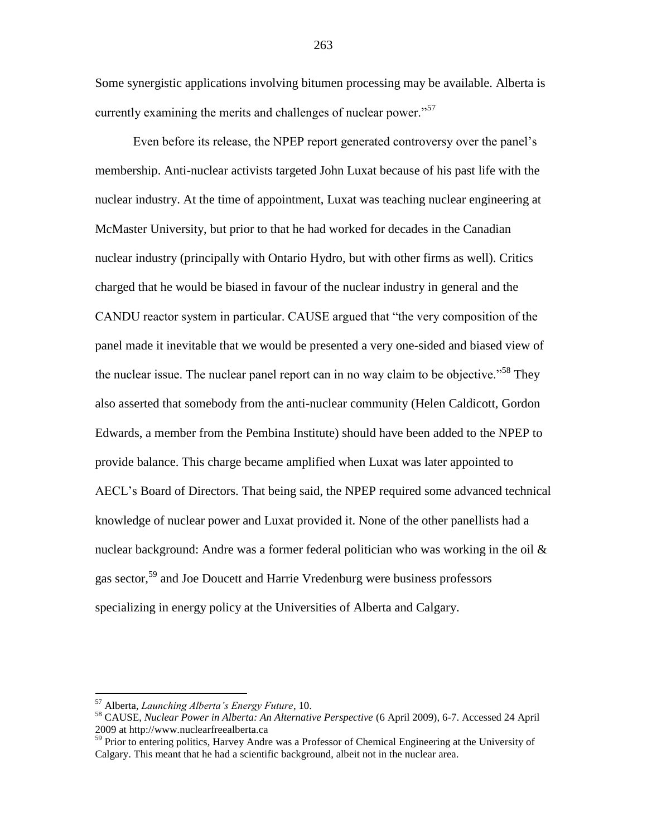Some synergistic applications involving bitumen processing may be available. Alberta is currently examining the merits and challenges of nuclear power."<sup>57</sup>

Even before its release, the NPEP report generated controversy over the panel"s membership. Anti-nuclear activists targeted John Luxat because of his past life with the nuclear industry. At the time of appointment, Luxat was teaching nuclear engineering at McMaster University, but prior to that he had worked for decades in the Canadian nuclear industry (principally with Ontario Hydro, but with other firms as well). Critics charged that he would be biased in favour of the nuclear industry in general and the CANDU reactor system in particular. CAUSE argued that "the very composition of the panel made it inevitable that we would be presented a very one-sided and biased view of the nuclear issue. The nuclear panel report can in no way claim to be objective."<sup>58</sup> They also asserted that somebody from the anti-nuclear community (Helen Caldicott, Gordon Edwards, a member from the Pembina Institute) should have been added to the NPEP to provide balance. This charge became amplified when Luxat was later appointed to AECL"s Board of Directors. That being said, the NPEP required some advanced technical knowledge of nuclear power and Luxat provided it. None of the other panellists had a nuclear background: Andre was a former federal politician who was working in the oil  $\&$ gas sector,<sup>59</sup> and Joe Doucett and Harrie Vredenburg were business professors specializing in energy policy at the Universities of Alberta and Calgary.

<sup>57</sup> Alberta, *Launching Alberta's Energy Future*, 10.

<sup>58</sup> CAUSE, *Nuclear Power in Alberta: An Alternative Perspective* (6 April 2009), 6-7. Accessed 24 April 2009 at http://www.nuclearfreealberta.ca

<sup>&</sup>lt;sup>59</sup> Prior to entering politics, Harvey Andre was a Professor of Chemical Engineering at the University of Calgary. This meant that he had a scientific background, albeit not in the nuclear area.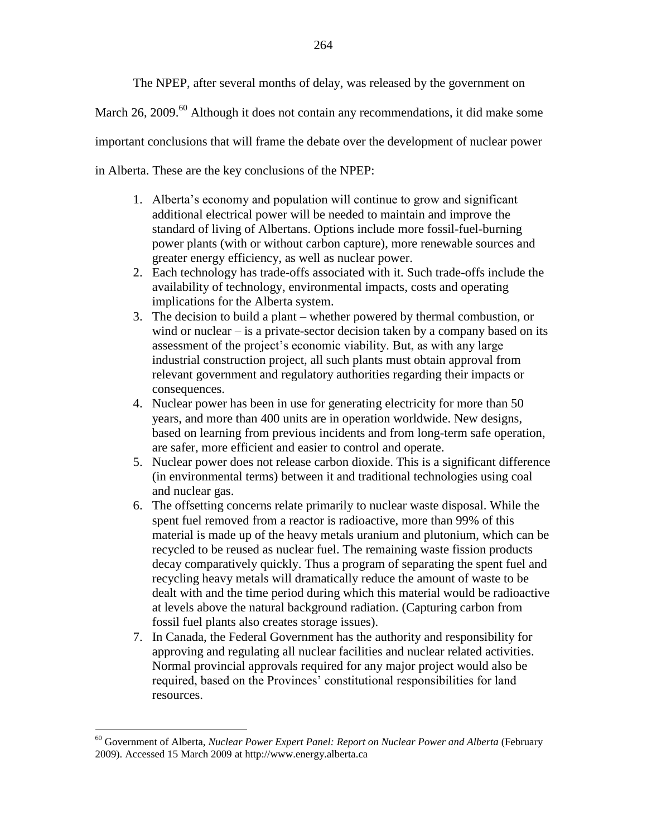The NPEP, after several months of delay, was released by the government on

March 26, 2009. $^{60}$  Although it does not contain any recommendations, it did make some

important conclusions that will frame the debate over the development of nuclear power

in Alberta. These are the key conclusions of the NPEP:

- 1. Alberta"s economy and population will continue to grow and significant additional electrical power will be needed to maintain and improve the standard of living of Albertans. Options include more fossil-fuel-burning power plants (with or without carbon capture), more renewable sources and greater energy efficiency, as well as nuclear power.
- 2. Each technology has trade-offs associated with it. Such trade-offs include the availability of technology, environmental impacts, costs and operating implications for the Alberta system.
- 3. The decision to build a plant whether powered by thermal combustion, or wind or nuclear – is a private-sector decision taken by a company based on its assessment of the project"s economic viability. But, as with any large industrial construction project, all such plants must obtain approval from relevant government and regulatory authorities regarding their impacts or consequences.
- 4. Nuclear power has been in use for generating electricity for more than 50 years, and more than 400 units are in operation worldwide. New designs, based on learning from previous incidents and from long-term safe operation, are safer, more efficient and easier to control and operate.
- 5. Nuclear power does not release carbon dioxide. This is a significant difference (in environmental terms) between it and traditional technologies using coal and nuclear gas.
- 6. The offsetting concerns relate primarily to nuclear waste disposal. While the spent fuel removed from a reactor is radioactive, more than 99% of this material is made up of the heavy metals uranium and plutonium, which can be recycled to be reused as nuclear fuel. The remaining waste fission products decay comparatively quickly. Thus a program of separating the spent fuel and recycling heavy metals will dramatically reduce the amount of waste to be dealt with and the time period during which this material would be radioactive at levels above the natural background radiation. (Capturing carbon from fossil fuel plants also creates storage issues).
- 7. In Canada, the Federal Government has the authority and responsibility for approving and regulating all nuclear facilities and nuclear related activities. Normal provincial approvals required for any major project would also be required, based on the Provinces" constitutional responsibilities for land resources.

<sup>60</sup> Government of Alberta, *Nuclear Power Expert Panel: Report on Nuclear Power and Alberta* (February 2009). Accessed 15 March 2009 at http://www.energy.alberta.ca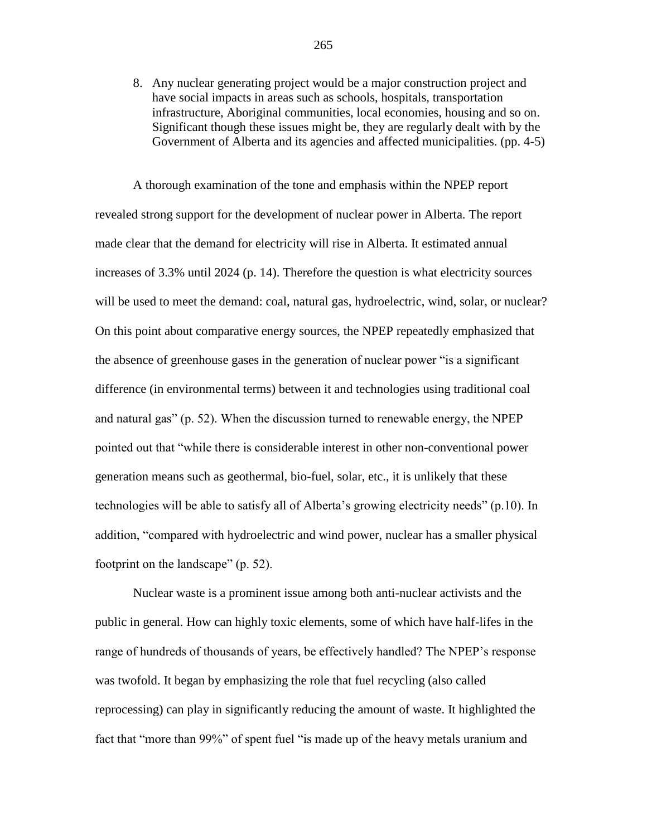8. Any nuclear generating project would be a major construction project and have social impacts in areas such as schools, hospitals, transportation infrastructure, Aboriginal communities, local economies, housing and so on. Significant though these issues might be, they are regularly dealt with by the Government of Alberta and its agencies and affected municipalities. (pp. 4-5)

A thorough examination of the tone and emphasis within the NPEP report revealed strong support for the development of nuclear power in Alberta. The report made clear that the demand for electricity will rise in Alberta. It estimated annual increases of 3.3% until 2024 (p. 14). Therefore the question is what electricity sources will be used to meet the demand: coal, natural gas, hydroelectric, wind, solar, or nuclear? On this point about comparative energy sources, the NPEP repeatedly emphasized that the absence of greenhouse gases in the generation of nuclear power "is a significant difference (in environmental terms) between it and technologies using traditional coal and natural gas" (p. 52). When the discussion turned to renewable energy, the NPEP pointed out that "while there is considerable interest in other non-conventional power generation means such as geothermal, bio-fuel, solar, etc., it is unlikely that these technologies will be able to satisfy all of Alberta"s growing electricity needs" (p.10). In addition, "compared with hydroelectric and wind power, nuclear has a smaller physical footprint on the landscape" (p. 52).

Nuclear waste is a prominent issue among both anti-nuclear activists and the public in general. How can highly toxic elements, some of which have half-lifes in the range of hundreds of thousands of years, be effectively handled? The NPEP's response was twofold. It began by emphasizing the role that fuel recycling (also called reprocessing) can play in significantly reducing the amount of waste. It highlighted the fact that "more than 99%" of spent fuel "is made up of the heavy metals uranium and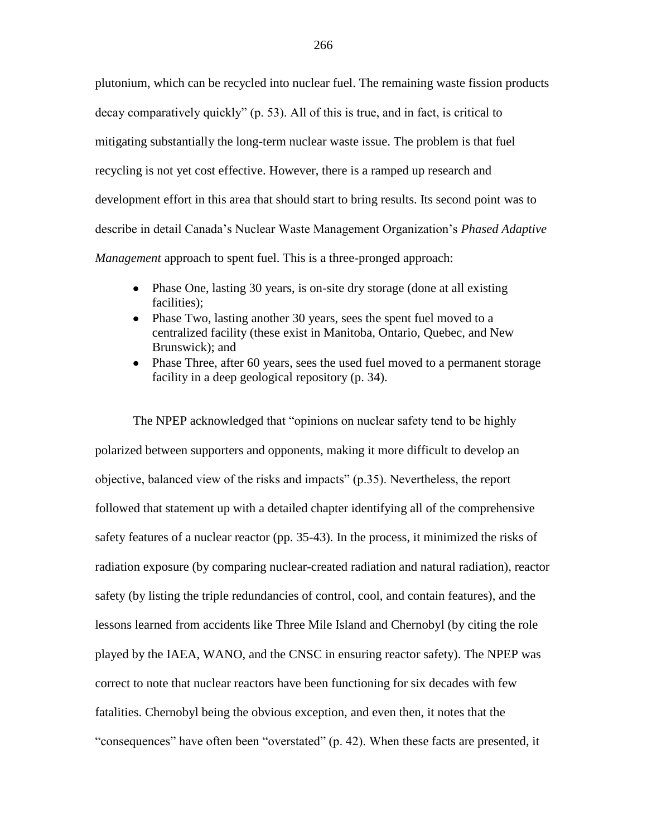plutonium, which can be recycled into nuclear fuel. The remaining waste fission products decay comparatively quickly" (p. 53). All of this is true, and in fact, is critical to mitigating substantially the long-term nuclear waste issue. The problem is that fuel recycling is not yet cost effective. However, there is a ramped up research and development effort in this area that should start to bring results. Its second point was to describe in detail Canada"s Nuclear Waste Management Organization"s *Phased Adaptive Management* approach to spent fuel. This is a three-pronged approach:

- Phase One, lasting 30 years, is on-site dry storage (done at all existing facilities);
- Phase Two, lasting another 30 years, sees the spent fuel moved to a centralized facility (these exist in Manitoba, Ontario, Quebec, and New Brunswick); and
- Phase Three, after 60 years, sees the used fuel moved to a permanent storage facility in a deep geological repository (p. 34).

The NPEP acknowledged that "opinions on nuclear safety tend to be highly polarized between supporters and opponents, making it more difficult to develop an objective, balanced view of the risks and impacts" (p.35). Nevertheless, the report followed that statement up with a detailed chapter identifying all of the comprehensive safety features of a nuclear reactor (pp. 35-43). In the process, it minimized the risks of radiation exposure (by comparing nuclear-created radiation and natural radiation), reactor safety (by listing the triple redundancies of control, cool, and contain features), and the lessons learned from accidents like Three Mile Island and Chernobyl (by citing the role played by the IAEA, WANO, and the CNSC in ensuring reactor safety). The NPEP was correct to note that nuclear reactors have been functioning for six decades with few fatalities. Chernobyl being the obvious exception, and even then, it notes that the "consequences" have often been "overstated" (p. 42). When these facts are presented, it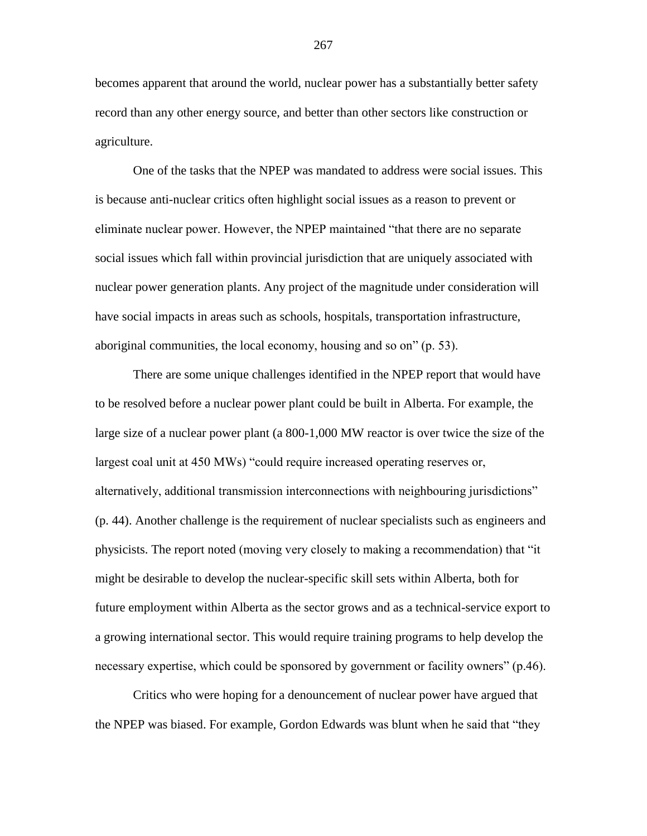becomes apparent that around the world, nuclear power has a substantially better safety record than any other energy source, and better than other sectors like construction or agriculture.

One of the tasks that the NPEP was mandated to address were social issues. This is because anti-nuclear critics often highlight social issues as a reason to prevent or eliminate nuclear power. However, the NPEP maintained "that there are no separate social issues which fall within provincial jurisdiction that are uniquely associated with nuclear power generation plants. Any project of the magnitude under consideration will have social impacts in areas such as schools, hospitals, transportation infrastructure, aboriginal communities, the local economy, housing and so on" (p. 53).

There are some unique challenges identified in the NPEP report that would have to be resolved before a nuclear power plant could be built in Alberta. For example, the large size of a nuclear power plant (a 800-1,000 MW reactor is over twice the size of the largest coal unit at 450 MWs) "could require increased operating reserves or, alternatively, additional transmission interconnections with neighbouring jurisdictions" (p. 44). Another challenge is the requirement of nuclear specialists such as engineers and physicists. The report noted (moving very closely to making a recommendation) that "it might be desirable to develop the nuclear-specific skill sets within Alberta, both for future employment within Alberta as the sector grows and as a technical-service export to a growing international sector. This would require training programs to help develop the necessary expertise, which could be sponsored by government or facility owners" (p.46).

Critics who were hoping for a denouncement of nuclear power have argued that the NPEP was biased. For example, Gordon Edwards was blunt when he said that "they

267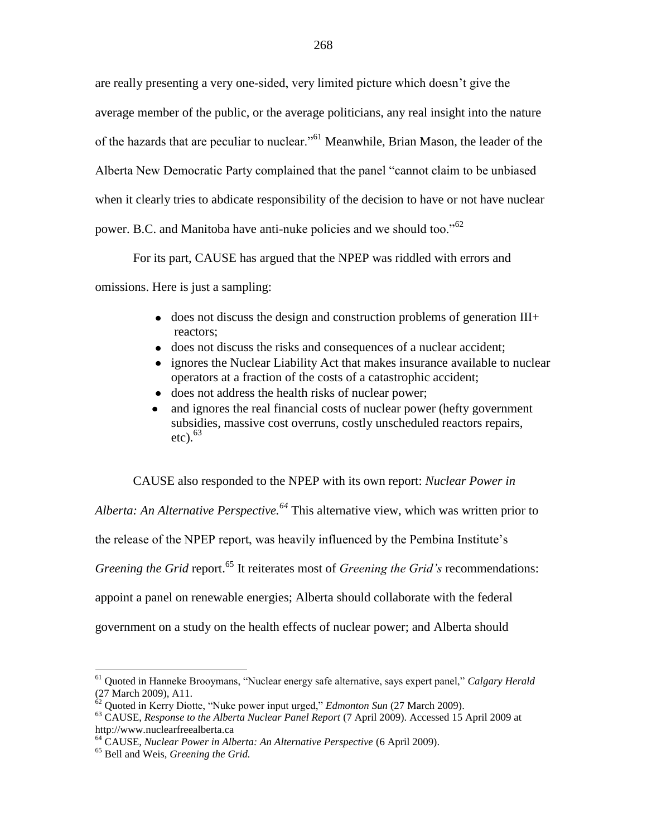are really presenting a very one-sided, very limited picture which doesn"t give the average member of the public, or the average politicians, any real insight into the nature of the hazards that are peculiar to nuclear."<sup>61</sup> Meanwhile, Brian Mason, the leader of the Alberta New Democratic Party complained that the panel "cannot claim to be unbiased when it clearly tries to abdicate responsibility of the decision to have or not have nuclear power. B.C. and Manitoba have anti-nuke policies and we should too."<sup>62</sup>

For its part, CAUSE has argued that the NPEP was riddled with errors and

omissions. Here is just a sampling:

- $\bullet$  does not discuss the design and construction problems of generation III+ reactors;
- does not discuss the risks and consequences of a nuclear accident;
- ignores the Nuclear Liability Act that makes insurance available to nuclear  $\bullet$ operators at a fraction of the costs of a catastrophic accident;
- does not address the health risks of nuclear power;
- and ignores the real financial costs of nuclear power (hefty government  $\bullet$ subsidies, massive cost overruns, costly unscheduled reactors repairs, etc).  $63$

CAUSE also responded to the NPEP with its own report: *Nuclear Power in* 

*Alberta: An Alternative Perspective.<sup>64</sup>* This alternative view, which was written prior to the release of the NPEP report, was heavily influenced by the Pembina Institute"s *Greening the Grid* report.<sup>65</sup> It reiterates most of *Greening the Grid's* recommendations: appoint a panel on renewable energies; Alberta should collaborate with the federal government on a study on the health effects of nuclear power; and Alberta should

<sup>61</sup> Quoted in Hanneke Brooymans, "Nuclear energy safe alternative, says expert panel," *Calgary Herald*  (27 March 2009), A11.

<sup>62</sup> Quoted in Kerry Diotte, "Nuke power input urged," *Edmonton Sun* (27 March 2009).

<sup>63</sup> CAUSE, *Response to the Alberta Nuclear Panel Report* (7 April 2009). Accessed 15 April 2009 at http://www.nuclearfreealberta.ca

<sup>64</sup> CAUSE, *Nuclear Power in Alberta: An Alternative Perspective* (6 April 2009).

<sup>65</sup> Bell and Weis, *Greening the Grid.*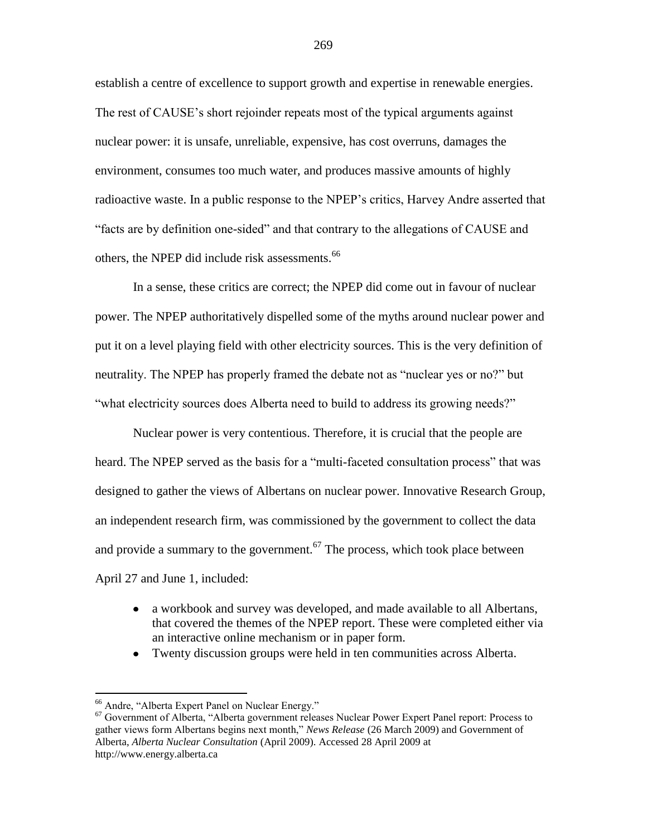establish a centre of excellence to support growth and expertise in renewable energies. The rest of CAUSE's short rejoinder repeats most of the typical arguments against nuclear power: it is unsafe, unreliable, expensive, has cost overruns, damages the environment, consumes too much water, and produces massive amounts of highly radioactive waste. In a public response to the NPEP"s critics, Harvey Andre asserted that "facts are by definition one-sided" and that contrary to the allegations of CAUSE and others, the NPEP did include risk assessments.<sup>66</sup>

In a sense, these critics are correct; the NPEP did come out in favour of nuclear power. The NPEP authoritatively dispelled some of the myths around nuclear power and put it on a level playing field with other electricity sources. This is the very definition of neutrality. The NPEP has properly framed the debate not as "nuclear yes or no?" but "what electricity sources does Alberta need to build to address its growing needs?"

Nuclear power is very contentious. Therefore, it is crucial that the people are heard. The NPEP served as the basis for a "multi-faceted consultation process" that was designed to gather the views of Albertans on nuclear power. Innovative Research Group, an independent research firm, was commissioned by the government to collect the data and provide a summary to the government.<sup>67</sup> The process, which took place between April 27 and June 1, included:

- a workbook and survey was developed, and made available to all Albertans,  $\bullet$ that covered the themes of the NPEP report. These were completed either via an interactive online mechanism or in paper form.
- Twenty discussion groups were held in ten communities across Alberta.

<sup>66</sup> Andre, "Alberta Expert Panel on Nuclear Energy."

<sup>67</sup> Government of Alberta, "Alberta government releases Nuclear Power Expert Panel report: Process to gather views form Albertans begins next month," *News Release* (26 March 2009) and Government of Alberta, *Alberta Nuclear Consultation* (April 2009). Accessed 28 April 2009 at http://www.energy.alberta.ca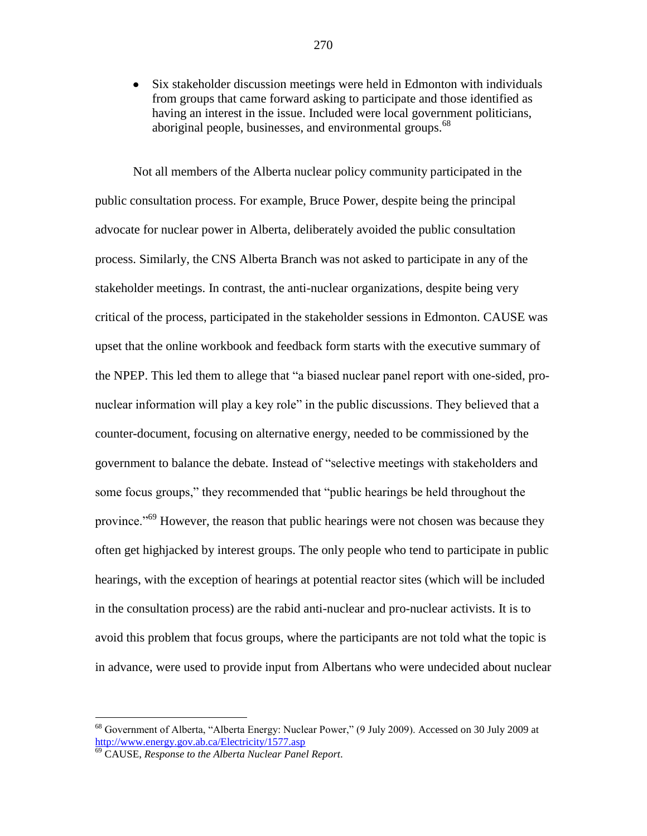Six stakeholder discussion meetings were held in Edmonton with individuals  $\bullet$ from groups that came forward asking to participate and those identified as having an interest in the issue. Included were local government politicians, aboriginal people, businesses, and environmental groups.<sup>68</sup>

Not all members of the Alberta nuclear policy community participated in the public consultation process. For example, Bruce Power, despite being the principal advocate for nuclear power in Alberta, deliberately avoided the public consultation process. Similarly, the CNS Alberta Branch was not asked to participate in any of the stakeholder meetings. In contrast, the anti-nuclear organizations, despite being very critical of the process, participated in the stakeholder sessions in Edmonton. CAUSE was upset that the online workbook and feedback form starts with the executive summary of the NPEP. This led them to allege that "a biased nuclear panel report with one-sided, pronuclear information will play a key role" in the public discussions. They believed that a counter-document, focusing on alternative energy, needed to be commissioned by the government to balance the debate. Instead of "selective meetings with stakeholders and some focus groups," they recommended that "public hearings be held throughout the province.<sup>"69</sup> However, the reason that public hearings were not chosen was because they often get highjacked by interest groups. The only people who tend to participate in public hearings, with the exception of hearings at potential reactor sites (which will be included in the consultation process) are the rabid anti-nuclear and pro-nuclear activists. It is to avoid this problem that focus groups, where the participants are not told what the topic is in advance, were used to provide input from Albertans who were undecided about nuclear

<sup>68</sup> Government of Alberta, "Alberta Energy: Nuclear Power," (9 July 2009). Accessed on 30 July 2009 at <http://www.energy.gov.ab.ca/Electricity/1577.asp>

<sup>69</sup> CAUSE, *Response to the Alberta Nuclear Panel Report.*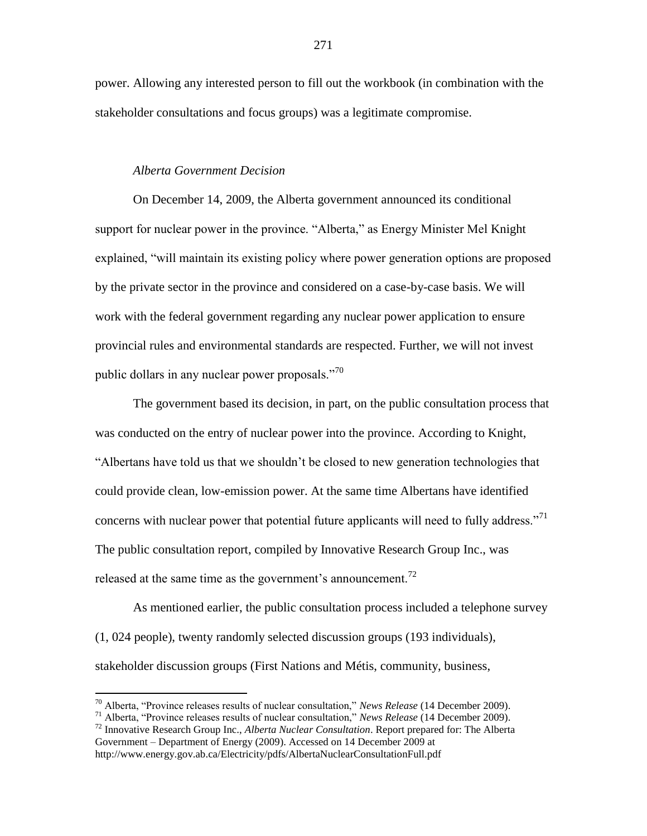power. Allowing any interested person to fill out the workbook (in combination with the stakeholder consultations and focus groups) was a legitimate compromise.

#### *Alberta Government Decision*

On December 14, 2009, the Alberta government announced its conditional support for nuclear power in the province. "Alberta," as Energy Minister Mel Knight explained, "will maintain its existing policy where power generation options are proposed by the private sector in the province and considered on a case-by-case basis. We will work with the federal government regarding any nuclear power application to ensure provincial rules and environmental standards are respected. Further, we will not invest public dollars in any nuclear power proposals."<sup>70</sup>

The government based its decision, in part, on the public consultation process that was conducted on the entry of nuclear power into the province. According to Knight, "Albertans have told us that we shouldn"t be closed to new generation technologies that could provide clean, low-emission power. At the same time Albertans have identified concerns with nuclear power that potential future applicants will need to fully address."<sup>71</sup> The public consultation report, compiled by Innovative Research Group Inc., was released at the same time as the government's announcement.<sup>72</sup>

As mentioned earlier, the public consultation process included a telephone survey (1, 024 people), twenty randomly selected discussion groups (193 individuals), stakeholder discussion groups (First Nations and Métis, community, business,

<sup>70</sup> Alberta, "Province releases results of nuclear consultation," *News Release* (14 December 2009).

<sup>71</sup> Alberta, "Province releases results of nuclear consultation," *News Release* (14 December 2009).

<sup>72</sup> Innovative Research Group Inc., *Alberta Nuclear Consultation*. Report prepared for: The Alberta Government – Department of Energy (2009). Accessed on 14 December 2009 at

http://www.energy.gov.ab.ca/Electricity/pdfs/AlbertaNuclearConsultationFull.pdf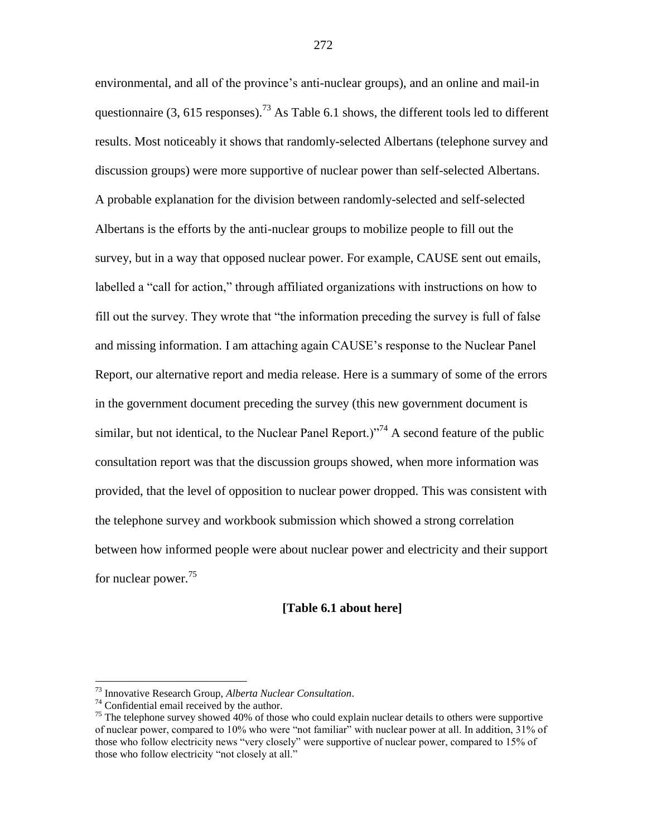environmental, and all of the province's anti-nuclear groups), and an online and mail-in questionnaire  $(3, 615$  responses).<sup>73</sup> As Table 6.1 shows, the different tools led to different results. Most noticeably it shows that randomly-selected Albertans (telephone survey and discussion groups) were more supportive of nuclear power than self-selected Albertans. A probable explanation for the division between randomly-selected and self-selected Albertans is the efforts by the anti-nuclear groups to mobilize people to fill out the survey, but in a way that opposed nuclear power. For example, CAUSE sent out emails, labelled a "call for action," through affiliated organizations with instructions on how to fill out the survey. They wrote that "the information preceding the survey is full of false and missing information. I am attaching again CAUSE"s response to the Nuclear Panel Report, our alternative report and media release. Here is a summary of some of the errors in the government document preceding the survey (this new government document is similar, but not identical, to the Nuclear Panel Report.)<sup> $,74$ </sup> A second feature of the public consultation report was that the discussion groups showed, when more information was provided, that the level of opposition to nuclear power dropped. This was consistent with the telephone survey and workbook submission which showed a strong correlation between how informed people were about nuclear power and electricity and their support for nuclear power.<sup>75</sup>

#### **[Table 6.1 about here]**

<sup>73</sup> Innovative Research Group, *Alberta Nuclear Consultation*.

 $74$  Confidential email received by the author.

<sup>&</sup>lt;sup>75</sup> The telephone survey showed 40% of those who could explain nuclear details to others were supportive of nuclear power, compared to 10% who were "not familiar" with nuclear power at all. In addition, 31% of those who follow electricity news "very closely" were supportive of nuclear power, compared to 15% of those who follow electricity "not closely at all."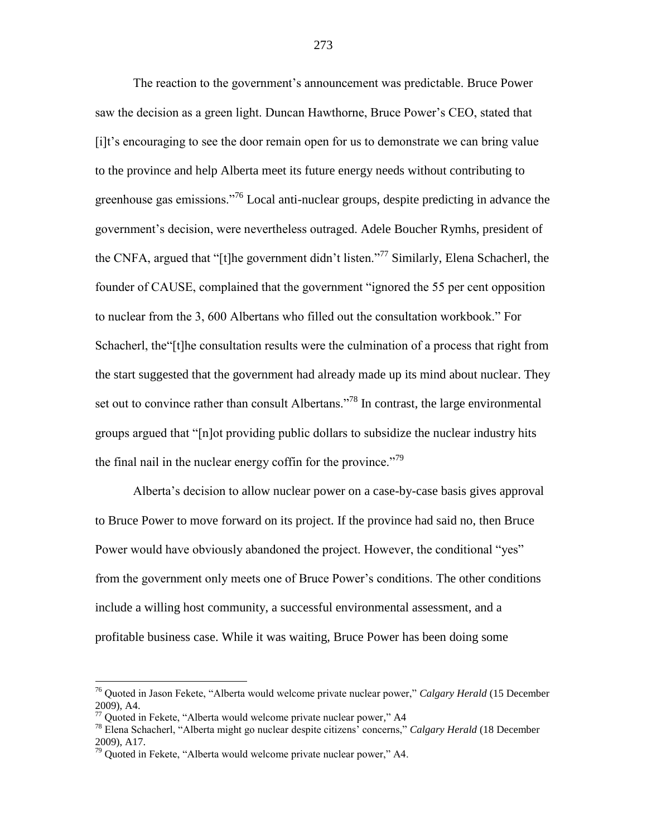The reaction to the government"s announcement was predictable. Bruce Power saw the decision as a green light. Duncan Hawthorne, Bruce Power"s CEO, stated that [i]t"s encouraging to see the door remain open for us to demonstrate we can bring value to the province and help Alberta meet its future energy needs without contributing to greenhouse gas emissions."<sup>76</sup> Local anti-nuclear groups, despite predicting in advance the government"s decision, were nevertheless outraged. Adele Boucher Rymhs, president of the CNFA, argued that "[t]he government didn"t listen."<sup>77</sup> Similarly, Elena Schacherl, the founder of CAUSE, complained that the government "ignored the 55 per cent opposition to nuclear from the 3, 600 Albertans who filled out the consultation workbook." For Schacherl, the"[t]he consultation results were the culmination of a process that right from the start suggested that the government had already made up its mind about nuclear. They set out to convince rather than consult Albertans.<sup> $78$ </sup> In contrast, the large environmental groups argued that "[n]ot providing public dollars to subsidize the nuclear industry hits the final nail in the nuclear energy coffin for the province.<sup> $79$ </sup>

Alberta"s decision to allow nuclear power on a case-by-case basis gives approval to Bruce Power to move forward on its project. If the province had said no, then Bruce Power would have obviously abandoned the project. However, the conditional "yes" from the government only meets one of Bruce Power"s conditions. The other conditions include a willing host community, a successful environmental assessment, and a profitable business case. While it was waiting, Bruce Power has been doing some

<sup>76</sup> Quoted in Jason Fekete, "Alberta would welcome private nuclear power," *Calgary Herald* (15 December 2009), A4.

 $77$  Quoted in Fekete, "Alberta would welcome private nuclear power," A4

<sup>78</sup> Elena Schacherl, "Alberta might go nuclear despite citizens" concerns," *Calgary Herald* (18 December 2009), A17.

 $79$  Quoted in Fekete, "Alberta would welcome private nuclear power," A4.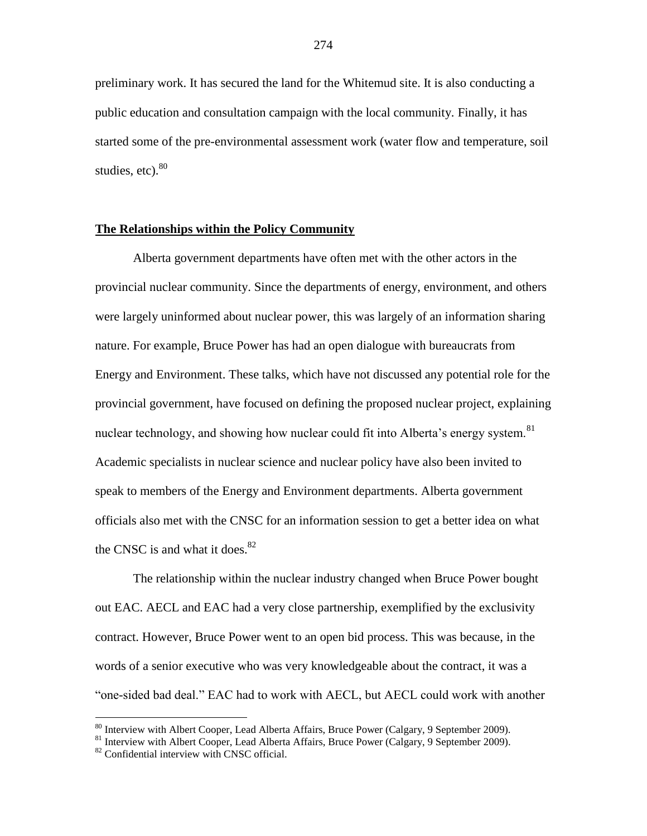preliminary work. It has secured the land for the Whitemud site. It is also conducting a public education and consultation campaign with the local community. Finally, it has started some of the pre-environmental assessment work (water flow and temperature, soil studies,  $etc$ ).  $80$ 

#### **The Relationships within the Policy Community**

Alberta government departments have often met with the other actors in the provincial nuclear community. Since the departments of energy, environment, and others were largely uninformed about nuclear power, this was largely of an information sharing nature. For example, Bruce Power has had an open dialogue with bureaucrats from Energy and Environment. These talks, which have not discussed any potential role for the provincial government, have focused on defining the proposed nuclear project, explaining nuclear technology, and showing how nuclear could fit into Alberta's energy system.<sup>81</sup> Academic specialists in nuclear science and nuclear policy have also been invited to speak to members of the Energy and Environment departments. Alberta government officials also met with the CNSC for an information session to get a better idea on what the CNSC is and what it does. $82$ 

The relationship within the nuclear industry changed when Bruce Power bought out EAC. AECL and EAC had a very close partnership, exemplified by the exclusivity contract. However, Bruce Power went to an open bid process. This was because, in the words of a senior executive who was very knowledgeable about the contract, it was a "one-sided bad deal." EAC had to work with AECL, but AECL could work with another

<sup>80</sup> Interview with Albert Cooper, Lead Alberta Affairs, Bruce Power (Calgary, 9 September 2009).

<sup>&</sup>lt;sup>81</sup> Interview with Albert Cooper, Lead Alberta Affairs, Bruce Power (Calgary, 9 September 2009).

<sup>&</sup>lt;sup>82</sup> Confidential interview with CNSC official.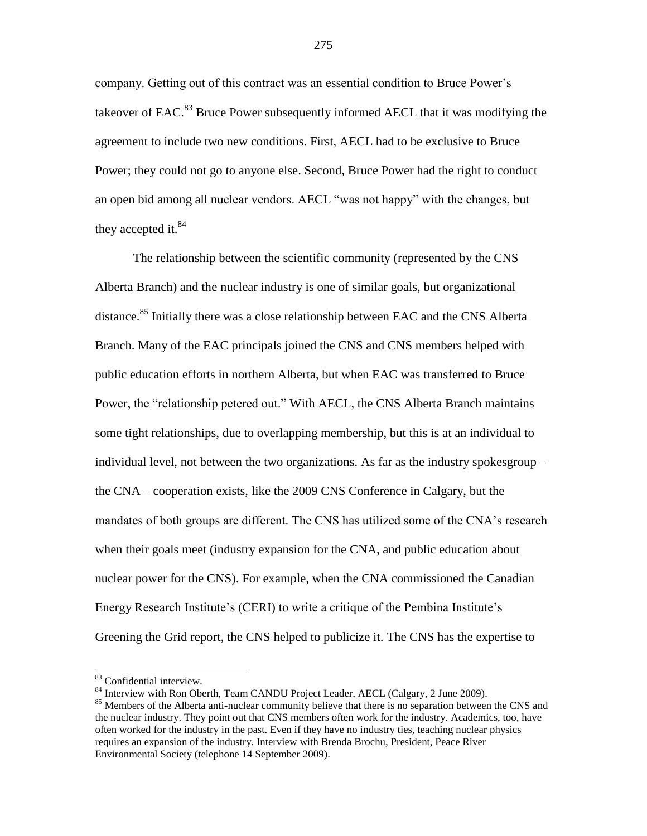company. Getting out of this contract was an essential condition to Bruce Power"s takeover of EAC. $83$  Bruce Power subsequently informed AECL that it was modifying the agreement to include two new conditions. First, AECL had to be exclusive to Bruce Power; they could not go to anyone else. Second, Bruce Power had the right to conduct an open bid among all nuclear vendors. AECL "was not happy" with the changes, but they accepted it. $84$ 

The relationship between the scientific community (represented by the CNS Alberta Branch) and the nuclear industry is one of similar goals, but organizational distance.<sup>85</sup> Initially there was a close relationship between EAC and the CNS Alberta Branch. Many of the EAC principals joined the CNS and CNS members helped with public education efforts in northern Alberta, but when EAC was transferred to Bruce Power, the "relationship petered out." With AECL, the CNS Alberta Branch maintains some tight relationships, due to overlapping membership, but this is at an individual to individual level, not between the two organizations. As far as the industry spokesgroup – the CNA – cooperation exists, like the 2009 CNS Conference in Calgary, but the mandates of both groups are different. The CNS has utilized some of the CNA's research when their goals meet (industry expansion for the CNA, and public education about nuclear power for the CNS). For example, when the CNA commissioned the Canadian Energy Research Institute"s (CERI) to write a critique of the Pembina Institute"s Greening the Grid report, the CNS helped to publicize it. The CNS has the expertise to

<sup>83</sup> Confidential interview.

<sup>&</sup>lt;sup>84</sup> Interview with Ron Oberth, Team CANDU Project Leader, AECL (Calgary, 2 June 2009).

<sup>&</sup>lt;sup>85</sup> Members of the Alberta anti-nuclear community believe that there is no separation between the CNS and the nuclear industry. They point out that CNS members often work for the industry. Academics, too, have often worked for the industry in the past. Even if they have no industry ties, teaching nuclear physics requires an expansion of the industry. Interview with Brenda Brochu, President, Peace River Environmental Society (telephone 14 September 2009).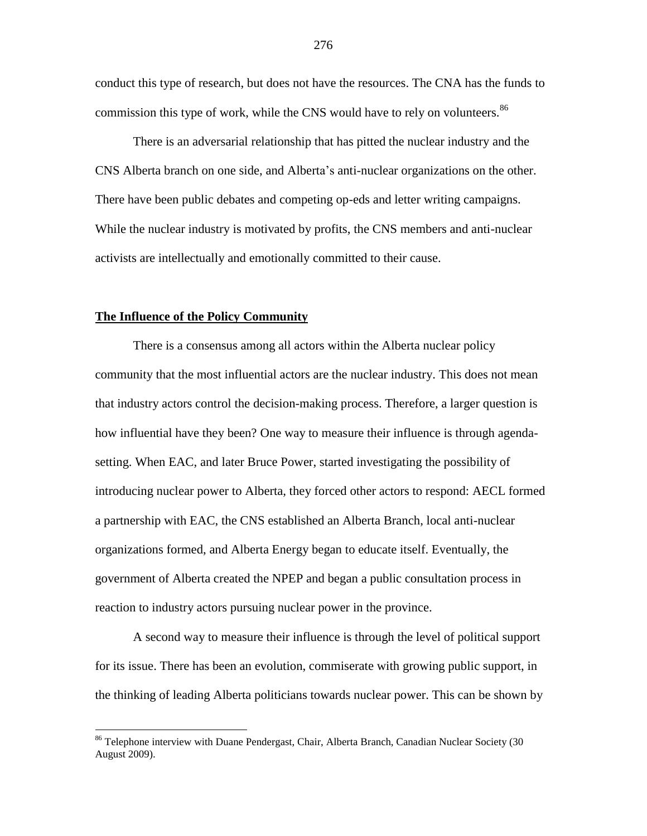conduct this type of research, but does not have the resources. The CNA has the funds to commission this type of work, while the CNS would have to rely on volunteers.<sup>86</sup>

There is an adversarial relationship that has pitted the nuclear industry and the CNS Alberta branch on one side, and Alberta"s anti-nuclear organizations on the other. There have been public debates and competing op-eds and letter writing campaigns. While the nuclear industry is motivated by profits, the CNS members and anti-nuclear activists are intellectually and emotionally committed to their cause.

#### **The Influence of the Policy Community**

 $\overline{a}$ 

There is a consensus among all actors within the Alberta nuclear policy community that the most influential actors are the nuclear industry. This does not mean that industry actors control the decision-making process. Therefore, a larger question is how influential have they been? One way to measure their influence is through agendasetting. When EAC, and later Bruce Power, started investigating the possibility of introducing nuclear power to Alberta, they forced other actors to respond: AECL formed a partnership with EAC, the CNS established an Alberta Branch, local anti-nuclear organizations formed, and Alberta Energy began to educate itself. Eventually, the government of Alberta created the NPEP and began a public consultation process in reaction to industry actors pursuing nuclear power in the province.

A second way to measure their influence is through the level of political support for its issue. There has been an evolution, commiserate with growing public support, in the thinking of leading Alberta politicians towards nuclear power. This can be shown by

<sup>&</sup>lt;sup>86</sup> Telephone interview with Duane Pendergast, Chair, Alberta Branch, Canadian Nuclear Society (30 August 2009).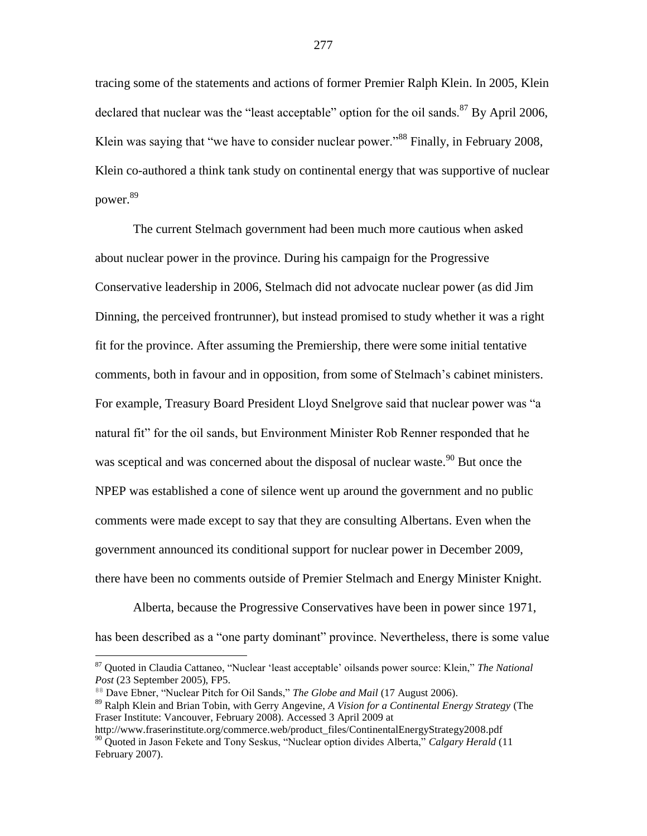tracing some of the statements and actions of former Premier Ralph Klein. In 2005, Klein declared that nuclear was the "least acceptable" option for the oil sands. $87$  By April 2006, Klein was saying that "we have to consider nuclear power."<sup>88</sup> Finally, in February 2008, Klein co-authored a think tank study on continental energy that was supportive of nuclear power.<sup>89</sup>

The current Stelmach government had been much more cautious when asked about nuclear power in the province. During his campaign for the Progressive Conservative leadership in 2006, Stelmach did not advocate nuclear power (as did Jim Dinning, the perceived frontrunner), but instead promised to study whether it was a right fit for the province. After assuming the Premiership, there were some initial tentative comments, both in favour and in opposition, from some of Stelmach"s cabinet ministers. For example, Treasury Board President Lloyd Snelgrove said that nuclear power was "a natural fit" for the oil sands, but Environment Minister Rob Renner responded that he was sceptical and was concerned about the disposal of nuclear waste.<sup>90</sup> But once the NPEP was established a cone of silence went up around the government and no public comments were made except to say that they are consulting Albertans. Even when the government announced its conditional support for nuclear power in December 2009, there have been no comments outside of Premier Stelmach and Energy Minister Knight.

Alberta, because the Progressive Conservatives have been in power since 1971, has been described as a "one party dominant" province. Nevertheless, there is some value

<sup>87</sup> Quoted in Claudia Cattaneo, "Nuclear "least acceptable" oilsands power source: Klein," *The National Post* (23 September 2005), FP5.

<sup>88</sup> Dave Ebner, "Nuclear Pitch for Oil Sands," *The Globe and Mail* (17 August 2006).

<sup>89</sup> Ralph Klein and Brian Tobin, with Gerry Angevine, *A Vision for a Continental Energy Strategy* (The Fraser Institute: Vancouver, February 2008). Accessed 3 April 2009 at

http://www.fraserinstitute.org/commerce.web/product\_files/ContinentalEnergyStrategy2008.pdf <sup>90</sup> Quoted in Jason Fekete and Tony Seskus, "Nuclear option divides Alberta," *Calgary Herald* (11 February 2007).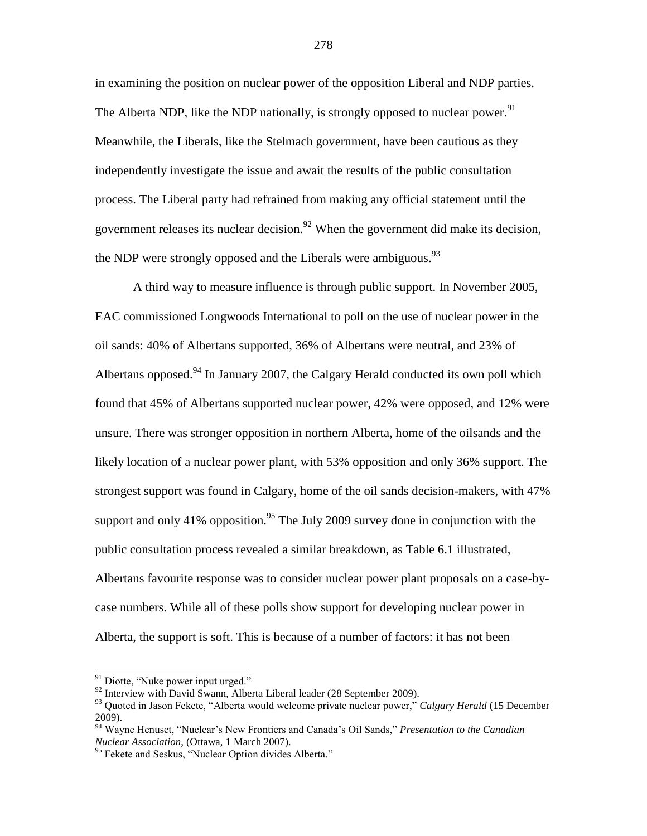in examining the position on nuclear power of the opposition Liberal and NDP parties. The Alberta NDP, like the NDP nationally, is strongly opposed to nuclear power.<sup>91</sup> Meanwhile, the Liberals, like the Stelmach government, have been cautious as they independently investigate the issue and await the results of the public consultation process. The Liberal party had refrained from making any official statement until the government releases its nuclear decision.<sup>92</sup> When the government did make its decision, the NDP were strongly opposed and the Liberals were ambiguous.  $93$ 

A third way to measure influence is through public support. In November 2005, EAC commissioned Longwoods International to poll on the use of nuclear power in the oil sands: 40% of Albertans supported, 36% of Albertans were neutral, and 23% of Albertans opposed.<sup>94</sup> In January 2007, the Calgary Herald conducted its own poll which found that 45% of Albertans supported nuclear power, 42% were opposed, and 12% were unsure. There was stronger opposition in northern Alberta, home of the oilsands and the likely location of a nuclear power plant, with 53% opposition and only 36% support. The strongest support was found in Calgary, home of the oil sands decision-makers, with 47% support and only 41% opposition.<sup>95</sup> The July 2009 survey done in conjunction with the public consultation process revealed a similar breakdown, as Table 6.1 illustrated, Albertans favourite response was to consider nuclear power plant proposals on a case-bycase numbers. While all of these polls show support for developing nuclear power in Alberta, the support is soft. This is because of a number of factors: it has not been

 $91$  Diotte, "Nuke power input urged."

<sup>&</sup>lt;sup>92</sup> Interview with David Swann, Alberta Liberal leader (28 September 2009).

<sup>93</sup> Quoted in Jason Fekete, "Alberta would welcome private nuclear power," *Calgary Herald* (15 December 2009).

<sup>94</sup> Wayne Henuset, "Nuclear"s New Frontiers and Canada"s Oil Sands," *Presentation to the Canadian Nuclear Association,* (Ottawa, 1 March 2007).

<sup>&</sup>lt;sup>95</sup> Fekete and Seskus, "Nuclear Option divides Alberta."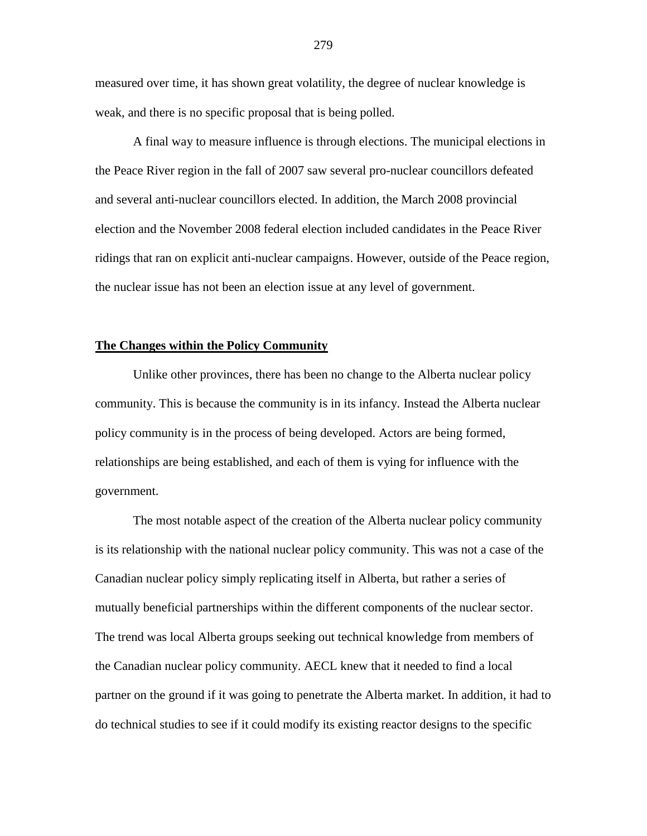measured over time, it has shown great volatility, the degree of nuclear knowledge is weak, and there is no specific proposal that is being polled.

A final way to measure influence is through elections. The municipal elections in the Peace River region in the fall of 2007 saw several pro-nuclear councillors defeated and several anti-nuclear councillors elected. In addition, the March 2008 provincial election and the November 2008 federal election included candidates in the Peace River ridings that ran on explicit anti-nuclear campaigns. However, outside of the Peace region, the nuclear issue has not been an election issue at any level of government.

#### **The Changes within the Policy Community**

Unlike other provinces, there has been no change to the Alberta nuclear policy community. This is because the community is in its infancy. Instead the Alberta nuclear policy community is in the process of being developed. Actors are being formed, relationships are being established, and each of them is vying for influence with the government.

The most notable aspect of the creation of the Alberta nuclear policy community is its relationship with the national nuclear policy community. This was not a case of the Canadian nuclear policy simply replicating itself in Alberta, but rather a series of mutually beneficial partnerships within the different components of the nuclear sector. The trend was local Alberta groups seeking out technical knowledge from members of the Canadian nuclear policy community. AECL knew that it needed to find a local partner on the ground if it was going to penetrate the Alberta market. In addition, it had to do technical studies to see if it could modify its existing reactor designs to the specific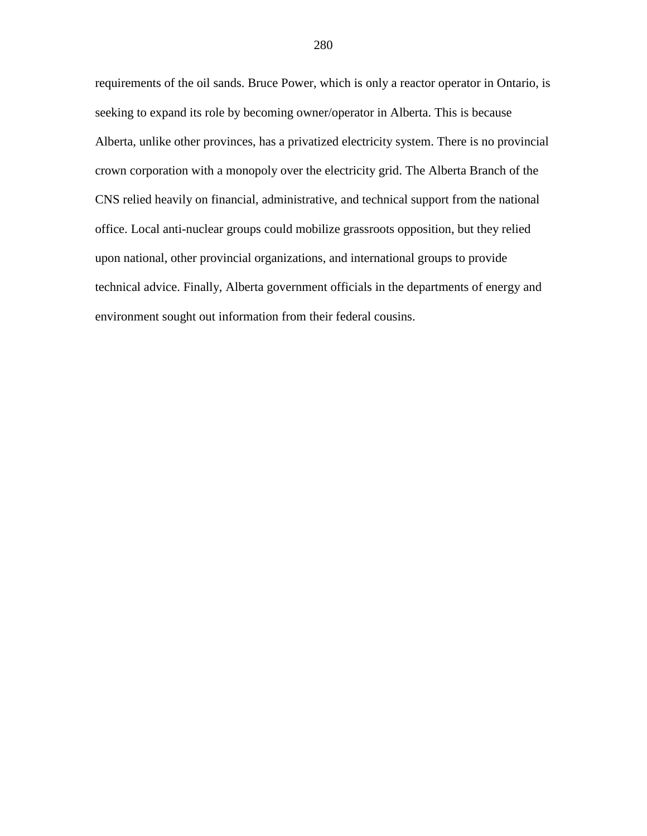requirements of the oil sands. Bruce Power, which is only a reactor operator in Ontario, is seeking to expand its role by becoming owner/operator in Alberta. This is because Alberta, unlike other provinces, has a privatized electricity system. There is no provincial crown corporation with a monopoly over the electricity grid. The Alberta Branch of the CNS relied heavily on financial, administrative, and technical support from the national office. Local anti-nuclear groups could mobilize grassroots opposition, but they relied upon national, other provincial organizations, and international groups to provide technical advice. Finally, Alberta government officials in the departments of energy and environment sought out information from their federal cousins.